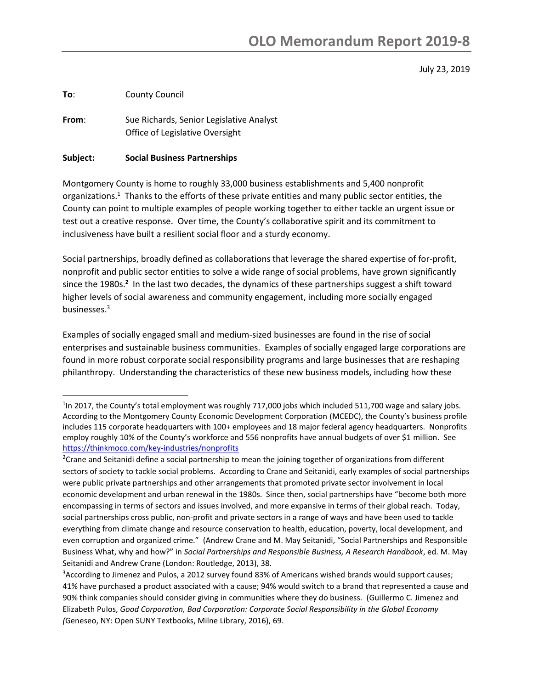July 23, 2019

**To**: County Council

l

**From**: Sue Richards, Senior Legislative Analyst Office of Legislative Oversight

#### **Subject: Social Business Partnerships**

Montgomery County is home to roughly 33,000 business establishments and 5,400 nonprofit organizations.<sup>1</sup> Thanks to the efforts of these private entities and many public sector entities, the County can point to multiple examples of people working together to either tackle an urgent issue or test out a creative response. Over time, the County's collaborative spirit and its commitment to inclusiveness have built a resilient social floor and a sturdy economy.

Social partnerships, broadly defined as collaborations that leverage the shared expertise of for-profit, nonprofit and public sector entities to solve a wide range of social problems, have grown significantly since the 1980s.<sup>2</sup> In the last two decades, the dynamics of these partnerships suggest a shift toward higher levels of social awareness and community engagement, including more socially engaged businesses.<sup>3</sup>

Examples of socially engaged small and medium-sized businesses are found in the rise of social enterprises and sustainable business communities. Examples of socially engaged large corporations are found in more robust corporate social responsibility programs and large businesses that are reshaping philanthropy. Understanding the characteristics of these new business models, including how these

<sup>3</sup>According to Jimenez and Pulos, a 2012 survey found 83% of Americans wished brands would support causes; 41% have purchased a product associated with a cause; 94% would switch to a brand that represented a cause and 90% think companies should consider giving in communities where they do business. (Guillermo C. Jimenez and Elizabeth Pulos, *Good Corporation, Bad Corporation: Corporate Social Responsibility in the Global Economy (*Geneseo, NY: Open SUNY Textbooks, Milne Library, 2016), 69.

<sup>&</sup>lt;sup>1</sup>In 2017, the County's total employment was roughly 717,000 jobs which included 511,700 wage and salary jobs. According to the Montgomery County Economic Development Corporation (MCEDC), the County's business profile includes 115 corporate headquarters with 100+ employees and 18 major federal agency headquarters. Nonprofits employ roughly 10% of the County's workforce and 556 nonprofits have annual budgets of over \$1 million. See <https://thinkmoco.com/key-industries/nonprofits>

<sup>&</sup>lt;sup>2</sup>Crane and Seitanidi define a social partnership to mean the joining together of organizations from different sectors of society to tackle social problems. According to Crane and Seitanidi, early examples of social partnerships were public private partnerships and other arrangements that promoted private sector involvement in local economic development and urban renewal in the 1980s. Since then, social partnerships have "become both more encompassing in terms of sectors and issues involved, and more expansive in terms of their global reach. Today, social partnerships cross public, non-profit and private sectors in a range of ways and have been used to tackle everything from climate change and resource conservation to health, education, poverty, local development, and even corruption and organized crime." (Andrew Crane and M. May Seitanidi, "Social Partnerships and Responsible Business What, why and how?" in *Social Partnerships and Responsible Business, A Research Handbook*, ed. M. May Seitanidi and Andrew Crane (London: Routledge, 2013), 38.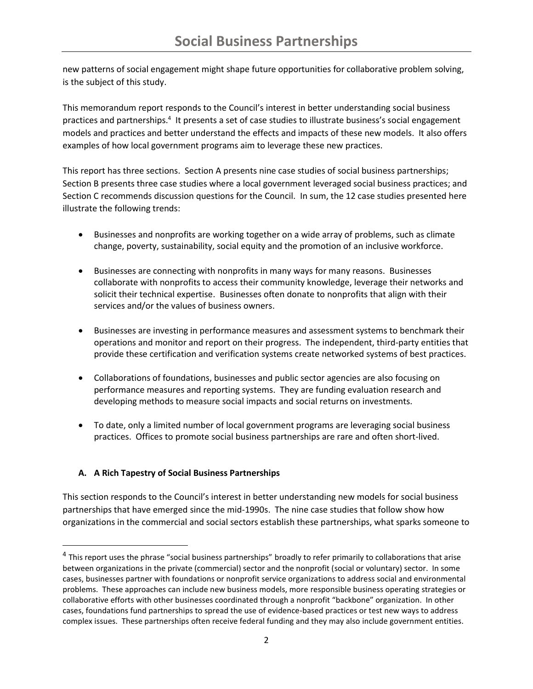new patterns of social engagement might shape future opportunities for collaborative problem solving, is the subject of this study.

This memorandum report responds to the Council's interest in better understanding social business practices and partnerships.<sup>4</sup> It presents a set of case studies to illustrate business's social engagement models and practices and better understand the effects and impacts of these new models. It also offers examples of how local government programs aim to leverage these new practices.

This report has three sections. Section A presents nine case studies of social business partnerships; Section B presents three case studies where a local government leveraged social business practices; and Section C recommends discussion questions for the Council. In sum, the 12 case studies presented here illustrate the following trends:

- Businesses and nonprofits are working together on a wide array of problems, such as climate change, poverty, sustainability, social equity and the promotion of an inclusive workforce.
- Businesses are connecting with nonprofits in many ways for many reasons. Businesses collaborate with nonprofits to access their community knowledge, leverage their networks and solicit their technical expertise. Businesses often donate to nonprofits that align with their services and/or the values of business owners.
- Businesses are investing in performance measures and assessment systems to benchmark their operations and monitor and report on their progress. The independent, third-party entities that provide these certification and verification systems create networked systems of best practices.
- Collaborations of foundations, businesses and public sector agencies are also focusing on performance measures and reporting systems. They are funding evaluation research and developing methods to measure social impacts and social returns on investments.
- To date, only a limited number of local government programs are leveraging social business practices. Offices to promote social business partnerships are rare and often short-lived.

# **A. A Rich Tapestry of Social Business Partnerships**

l

This section responds to the Council's interest in better understanding new models for social business partnerships that have emerged since the mid-1990s. The nine case studies that follow show how organizations in the commercial and social sectors establish these partnerships, what sparks someone to

<sup>&</sup>lt;sup>4</sup> This report uses the phrase "social business partnerships" broadly to refer primarily to collaborations that arise between organizations in the private (commercial) sector and the nonprofit (social or voluntary) sector. In some cases, businesses partner with foundations or nonprofit service organizations to address social and environmental problems. These approaches can include new business models, more responsible business operating strategies or collaborative efforts with other businesses coordinated through a nonprofit "backbone" organization. In other cases, foundations fund partnerships to spread the use of evidence-based practices or test new ways to address complex issues. These partnerships often receive federal funding and they may also include government entities.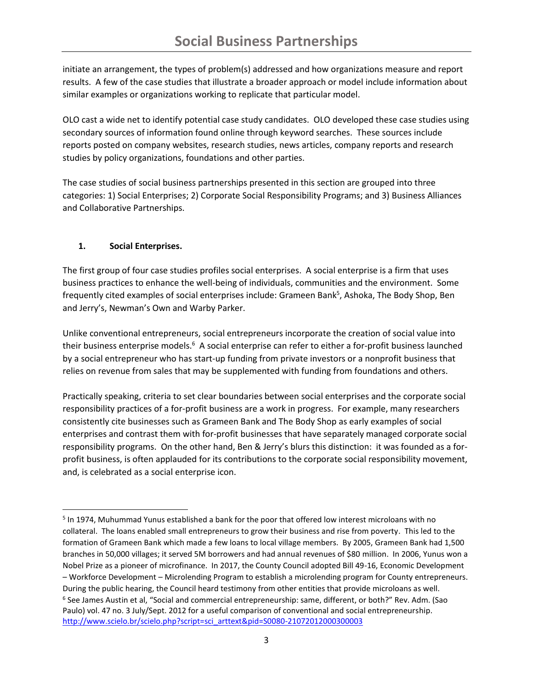initiate an arrangement, the types of problem(s) addressed and how organizations measure and report results. A few of the case studies that illustrate a broader approach or model include information about similar examples or organizations working to replicate that particular model.

OLO cast a wide net to identify potential case study candidates. OLO developed these case studies using secondary sources of information found online through keyword searches. These sources include reports posted on company websites, research studies, news articles, company reports and research studies by policy organizations, foundations and other parties.

The case studies of social business partnerships presented in this section are grouped into three categories: 1) Social Enterprises; 2) Corporate Social Responsibility Programs; and 3) Business Alliances and Collaborative Partnerships.

## **1. Social Enterprises.**

 $\overline{\phantom{a}}$ 

The first group of four case studies profiles social enterprises. A social enterprise is a firm that uses business practices to enhance the well-being of individuals, communities and the environment. Some frequently cited examples of social enterprises include: Grameen Bank<sup>5</sup>, Ashoka, The Body Shop, Ben and Jerry's, Newman's Own and Warby Parker.

Unlike conventional entrepreneurs, social entrepreneurs incorporate the creation of social value into their business enterprise models.<sup>6</sup> A social enterprise can refer to either a for-profit business launched by a social entrepreneur who has start-up funding from private investors or a nonprofit business that relies on revenue from sales that may be supplemented with funding from foundations and others.

Practically speaking, criteria to set clear boundaries between social enterprises and the corporate social responsibility practices of a for-profit business are a work in progress. For example, many researchers consistently cite businesses such as Grameen Bank and The Body Shop as early examples of social enterprises and contrast them with for-profit businesses that have separately managed corporate social responsibility programs. On the other hand, Ben & Jerry's blurs this distinction: it was founded as a forprofit business, is often applauded for its contributions to the corporate social responsibility movement, and, is celebrated as a social enterprise icon.

<sup>&</sup>lt;sup>5</sup> In 1974, Muhummad Yunus established a bank for the poor that offered low interest microloans with no collateral. The loans enabled small entrepreneurs to grow their business and rise from poverty. This led to the formation of Grameen Bank which made a few loans to local village members. By 2005, Grameen Bank had 1,500 branches in 50,000 villages; it served 5M borrowers and had annual revenues of \$80 million. In 2006, Yunus won a Nobel Prize as a pioneer of microfinance. In 2017, the County Council adopted Bill 49-16, Economic Development – Workforce Development – Microlending Program to establish a microlending program for County entrepreneurs. During the public hearing, the Council heard testimony from other entities that provide microloans as well. 6 See James Austin et al, "Social and commercial entrepreneurship: same, different, or both?" Rev. Adm. (Sao Paulo) vol. 47 no. 3 July/Sept. 2012 for a useful comparison of conventional and social entrepreneurship. [http://www.scielo.br/scielo.php?script=sci\\_arttext&pid=S0080-21072012000300003](http://www.scielo.br/scielo.php?script=sci_arttext&pid=S0080-21072012000300003)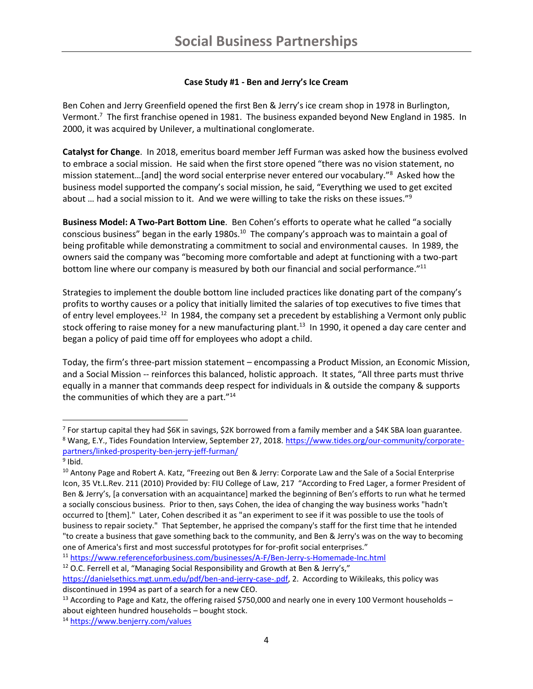### **Case Study #1 - Ben and Jerry's Ice Cream**

Ben Cohen and Jerry Greenfield opened the first Ben & Jerry's ice cream shop in 1978 in Burlington, Vermont.<sup>7</sup> The first franchise opened in 1981. The business expanded beyond New England in 1985. In 2000, it was acquired by Unilever, a multinational conglomerate.

**Catalyst for Change**. In 2018, emeritus board member Jeff Furman was asked how the business evolved to embrace a social mission. He said when the first store opened "there was no vision statement, no mission statement…[and] the word social enterprise never entered our vocabulary."<sup>8</sup> Asked how the business model supported the company's social mission, he said, "Everything we used to get excited about ... had a social mission to it. And we were willing to take the risks on these issues."<sup>9</sup>

**Business Model: A Two-Part Bottom Line**. Ben Cohen's efforts to operate what he called "a socially conscious business" began in the early 1980s. $^{10}$  The company's approach was to maintain a goal of being profitable while demonstrating a commitment to social and environmental causes. In 1989, the owners said the company was "becoming more comfortable and adept at functioning with a two-part bottom line where our company is measured by both our financial and social performance."<sup>11</sup>

Strategies to implement the double bottom line included practices like donating part of the company's profits to worthy causes or a policy that initially limited the salaries of top executives to five times that of entry level employees.<sup>12</sup> In 1984, the company set a precedent by establishing a Vermont only public stock offering to raise money for a new manufacturing plant.<sup>13</sup> In 1990, it opened a day care center and began a policy of paid time off for employees who adopt a child.

Today, the firm's three-part mission statement – encompassing a Product Mission, an Economic Mission, and a Social Mission -- reinforces this balanced, holistic approach. It states, "All three parts must thrive equally in a manner that commands deep respect for individuals in & outside the company & supports the communities of which they are a part."<sup>14</sup>

 $\overline{\phantom{a}}$ 

 $12$  O.C. Ferrell et al, "Managing Social Responsibility and Growth at Ben & Jerry's,"

<sup>&</sup>lt;sup>7</sup> For startup capital they had \$6K in savings, \$2K borrowed from a family member and a \$4K SBA loan guarantee. 8 Wang, E.Y., Tides Foundation Interview, September 27, 2018. [https://www.tides.org/our-community/corporate](https://www.tides.org/our-community/corporate-partners/linked-prosperity-ben-jerry-jeff-furman/)[partners/linked-prosperity-ben-jerry-jeff-furman/](https://www.tides.org/our-community/corporate-partners/linked-prosperity-ben-jerry-jeff-furman/)

<sup>&</sup>lt;sup>9</sup> Ibid.

<sup>&</sup>lt;sup>10</sup> Antony Page and Robert A. Katz, "Freezing out Ben & Jerry: Corporate Law and the Sale of a Social Enterprise Icon, 35 Vt.L.Rev. 211 (2010) Provided by: FIU College of Law, 217 "According to Fred Lager, a former President of Ben & Jerry's, [a conversation with an acquaintance] marked the beginning of Ben's efforts to run what he termed a socially conscious business. Prior to then, says Cohen, the idea of changing the way business works "hadn't occurred to [them]." Later, Cohen described it as "an experiment to see if it was possible to use the tools of business to repair society." That September, he apprised the company's staff for the first time that he intended "to create a business that gave something back to the community, and Ben & Jerry's was on the way to becoming one of America's first and most successful prototypes for for-profit social enterprises."

<sup>11</sup> <https://www.referenceforbusiness.com/businesses/A-F/Ben-Jerry-s-Homemade-Inc.html>

[https://danielsethics.mgt.unm.edu/pdf/ben-and-jerry-case-.pdf,](https://danielsethics.mgt.unm.edu/pdf/ben-and-jerry-case-.pdf) 2. According to Wikileaks, this policy was discontinued in 1994 as part of a search for a new CEO.

<sup>&</sup>lt;sup>13</sup> According to Page and Katz, the offering raised \$750,000 and nearly one in every 100 Vermont households about eighteen hundred households – bought stock.

<sup>14</sup> <https://www.benjerry.com/values>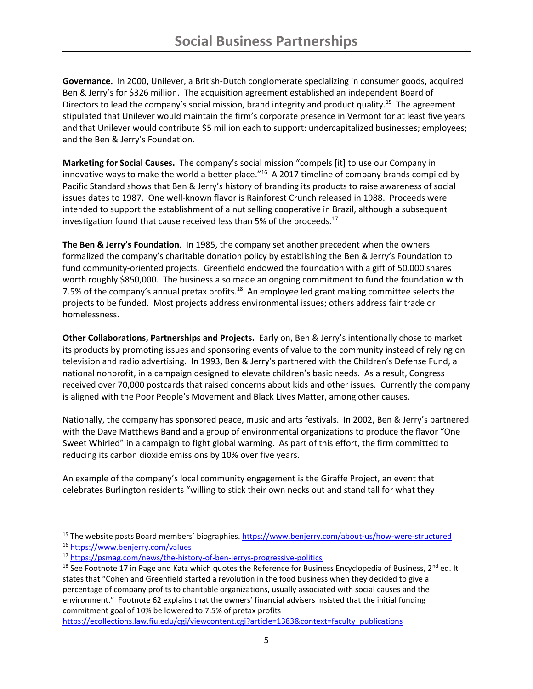**Governance.** In 2000, Unilever, a British-Dutch conglomerate specializing in consumer goods, acquired Ben & Jerry's for \$326 million. The acquisition agreement established an independent Board of Directors to lead the company's social mission, brand integrity and product quality.<sup>15</sup> The agreement stipulated that Unilever would maintain the firm's corporate presence in Vermont for at least five years and that Unilever would contribute \$5 million each to support: undercapitalized businesses; employees; and the Ben & Jerry's Foundation.

**Marketing for Social Causes.** The company's social mission "compels [it] to use our Company in innovative ways to make the world a better place."<sup>16</sup> A 2017 timeline of company brands compiled by Pacific Standard shows that Ben & Jerry's history of branding its products to raise awareness of social issues dates to 1987. One well-known flavor is Rainforest Crunch released in 1988. Proceeds were intended to support the establishment of a nut selling cooperative in Brazil, although a subsequent investigation found that cause received less than 5% of the proceeds. $17$ 

**The Ben & Jerry's Foundation**. In 1985, the company set another precedent when the owners formalized the company's charitable donation policy by establishing the Ben & Jerry's Foundation to fund community-oriented projects. Greenfield endowed the foundation with a gift of 50,000 shares worth roughly \$850,000. The business also made an ongoing commitment to fund the foundation with 7.5% of the company's annual pretax profits.<sup>18</sup> An employee led grant making committee selects the projects to be funded. Most projects address environmental issues; others address fair trade or homelessness.

**Other Collaborations, Partnerships and Projects.** Early on, Ben & Jerry's intentionally chose to market its products by promoting issues and sponsoring events of value to the community instead of relying on television and radio advertising. In 1993, Ben & Jerry's partnered with the Children's Defense Fund, a national nonprofit, in a campaign designed to elevate children's basic needs. As a result, Congress received over 70,000 postcards that raised concerns about kids and other issues. Currently the company is aligned with the Poor People's Movement and Black Lives Matter, among other causes.

Nationally, the company has sponsored peace, music and arts festivals. In 2002, Ben & Jerry's partnered with the Dave Matthews Band and a group of environmental organizations to produce the flavor "One Sweet Whirled" in a campaign to fight global warming. As part of this effort, the firm committed to reducing its carbon dioxide emissions by 10% over five years.

An example of the company's local community engagement is the Giraffe Project, an event that celebrates Burlington residents "willing to stick their own necks out and stand tall for what they

<sup>&</sup>lt;sup>15</sup> The website posts Board members' biographies. <https://www.benjerry.com/about-us/how-were-structured> <sup>16</sup> <https://www.benjerry.com/values>

<sup>17</sup> <https://psmag.com/news/the-history-of-ben-jerrys-progressive-politics>

<sup>&</sup>lt;sup>18</sup> See Footnote 17 in Page and Katz which quotes the Reference for Business Encyclopedia of Business, 2<sup>nd</sup> ed. It states that "Cohen and Greenfield started a revolution in the food business when they decided to give a percentage of company profits to charitable organizations, usually associated with social causes and the environment." Footnote 62 explains that the owners' financial advisers insisted that the initial funding commitment goal of 10% be lowered to 7.5% of pretax profits

[https://ecollections.law.fiu.edu/cgi/viewcontent.cgi?article=1383&context=faculty\\_publications](https://ecollections.law.fiu.edu/cgi/viewcontent.cgi?article=1383&context=faculty_publications)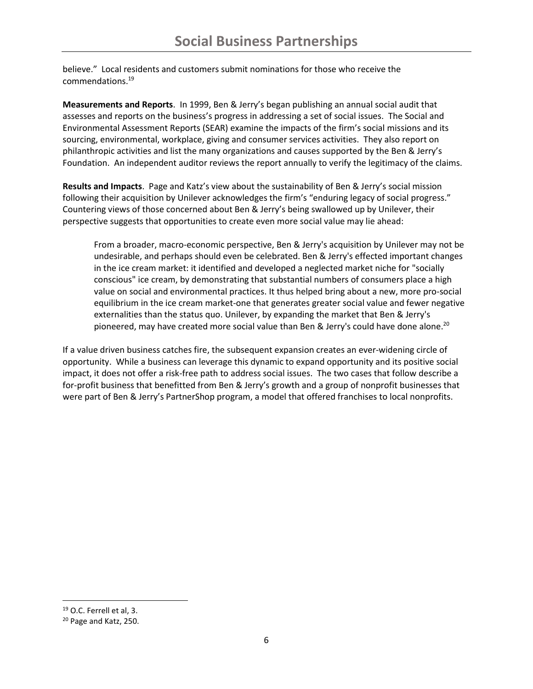believe." Local residents and customers submit nominations for those who receive the commendations.<sup>19</sup>

**Measurements and Reports**. In 1999, Ben & Jerry's began publishing an annual social audit that assesses and reports on the business's progress in addressing a set of social issues. The Social and Environmental Assessment Reports (SEAR) examine the impacts of the firm's social missions and its sourcing, environmental, workplace, giving and consumer services activities. They also report on philanthropic activities and list the many organizations and causes supported by the Ben & Jerry's Foundation. An independent auditor reviews the report annually to verify the legitimacy of the claims.

**Results and Impacts**. Page and Katz's view about the sustainability of Ben & Jerry's social mission following their acquisition by Unilever acknowledges the firm's "enduring legacy of social progress." Countering views of those concerned about Ben & Jerry's being swallowed up by Unilever, their perspective suggests that opportunities to create even more social value may lie ahead:

From a broader, macro-economic perspective, Ben & Jerry's acquisition by Unilever may not be undesirable, and perhaps should even be celebrated. Ben & Jerry's effected important changes in the ice cream market: it identified and developed a neglected market niche for "socially conscious" ice cream, by demonstrating that substantial numbers of consumers place a high value on social and environmental practices. It thus helped bring about a new, more pro-social equilibrium in the ice cream market-one that generates greater social value and fewer negative externalities than the status quo. Unilever, by expanding the market that Ben & Jerry's pioneered, may have created more social value than Ben & Jerry's could have done alone.<sup>20</sup>

If a value driven business catches fire, the subsequent expansion creates an ever-widening circle of opportunity. While a business can leverage this dynamic to expand opportunity and its positive social impact, it does not offer a risk-free path to address social issues. The two cases that follow describe a for-profit business that benefitted from Ben & Jerry's growth and a group of nonprofit businesses that were part of Ben & Jerry's PartnerShop program, a model that offered franchises to local nonprofits.

<sup>19</sup> O.C. Ferrell et al, 3.

<sup>20</sup> Page and Katz, 250.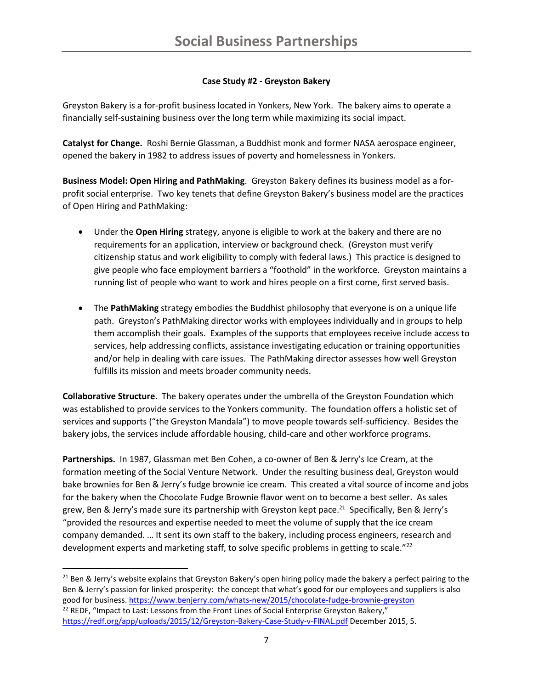# **Case Study #2 - Greyston Bakery**

Greyston Bakery is a for-profit business located in Yonkers, New York. The bakery aims to operate a financially self-sustaining business over the long term while maximizing its social impact.

**Catalyst for Change.** Roshi Bernie Glassman, a Buddhist monk and former NASA aerospace engineer, opened the bakery in 1982 to address issues of poverty and homelessness in Yonkers.

**Business Model: Open Hiring and PathMaking**. Greyston Bakery defines its business model as a forprofit social enterprise. Two key tenets that define Greyston Bakery's business model are the practices of Open Hiring and PathMaking:

- Under the **Open Hiring** strategy, anyone is eligible to work at the bakery and there are no requirements for an application, interview or background check. (Greyston must verify citizenship status and work eligibility to comply with federal laws.) This practice is designed to give people who face employment barriers a "foothold" in the workforce. Greyston maintains a running list of people who want to work and hires people on a first come, first served basis.
- The **PathMaking** strategy embodies the Buddhist philosophy that everyone is on a unique life path. Greyston's PathMaking director works with employees individually and in groups to help them accomplish their goals. Examples of the supports that employees receive include access to services, help addressing conflicts, assistance investigating education or training opportunities and/or help in dealing with care issues. The PathMaking director assesses how well Greyston fulfills its mission and meets broader community needs.

**Collaborative Structure**. The bakery operates under the umbrella of the Greyston Foundation which was established to provide services to the Yonkers community. The foundation offers a holistic set of services and supports ("the Greyston Mandala") to move people towards self-sufficiency. Besides the bakery jobs, the services include affordable housing, child-care and other workforce programs.

**Partnerships.** In 1987, Glassman met Ben Cohen, a co-owner of Ben & Jerry's Ice Cream, at the formation meeting of the Social Venture Network. Under the resulting business deal, Greyston would bake brownies for Ben & Jerry's fudge brownie ice cream. This created a vital source of income and jobs for the bakery when the Chocolate Fudge Brownie flavor went on to become a best seller. As sales grew, Ben & Jerry's made sure its partnership with Greyston kept pace.<sup>21</sup> Specifically, Ben & Jerry's "provided the resources and expertise needed to meet the volume of supply that the ice cream company demanded. … It sent its own staff to the bakery, including process engineers, research and development experts and marketing staff, to solve specific problems in getting to scale."<sup>22</sup>

 $21$  Ben & Jerry's website explains that Greyston Bakery's open hiring policy made the bakery a perfect pairing to the Ben & Jerry's passion for linked prosperity: the concept that what's good for our employees and suppliers is also good for business.<https://www.benjerry.com/whats-new/2015/chocolate-fudge-brownie-greyston>  $22$  REDF, "Impact to Last: Lessons from the Front Lines of Social Enterprise Greyston Bakery," <https://redf.org/app/uploads/2015/12/Greyston-Bakery-Case-Study-v-FINAL.pdf> December 2015, 5.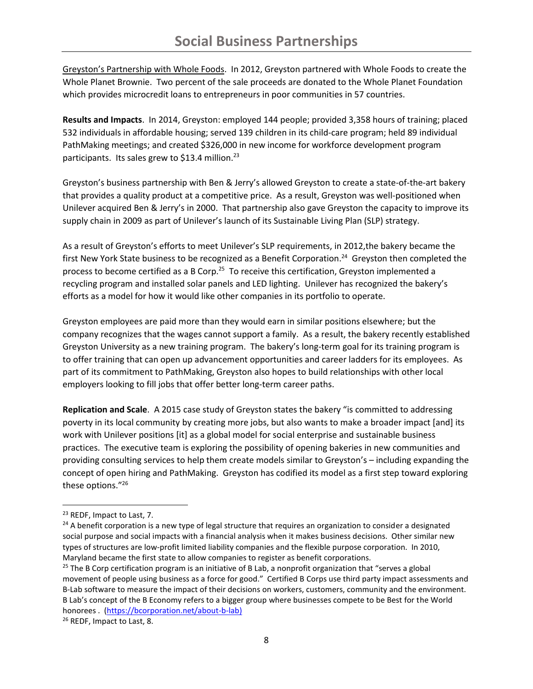Greyston's Partnership with Whole Foods. In 2012, Greyston partnered with Whole Foods to create the Whole Planet Brownie. Two percent of the sale proceeds are donated to the Whole Planet Foundation which provides microcredit loans to entrepreneurs in poor communities in 57 countries.

**Results and Impacts**. In 2014, Greyston: employed 144 people; provided 3,358 hours of training; placed 532 individuals in affordable housing; served 139 children in its child-care program; held 89 individual PathMaking meetings; and created \$326,000 in new income for workforce development program participants. Its sales grew to \$13.4 million.<sup>23</sup>

Greyston's business partnership with Ben & Jerry's allowed Greyston to create a state-of-the-art bakery that provides a quality product at a competitive price. As a result, Greyston was well-positioned when Unilever acquired Ben & Jerry's in 2000. That partnership also gave Greyston the capacity to improve its supply chain in 2009 as part of Unilever's launch of its Sustainable Living Plan (SLP) strategy.

As a result of Greyston's efforts to meet Unilever's SLP requirements, in 2012,the bakery became the first New York State business to be recognized as a Benefit Corporation.<sup>24</sup> Greyston then completed the process to become certified as a B Corp.<sup>25</sup> To receive this certification, Greyston implemented a recycling program and installed solar panels and LED lighting. Unilever has recognized the bakery's efforts as a model for how it would like other companies in its portfolio to operate.

Greyston employees are paid more than they would earn in similar positions elsewhere; but the company recognizes that the wages cannot support a family. As a result, the bakery recently established Greyston University as a new training program. The bakery's long-term goal for its training program is to offer training that can open up advancement opportunities and career ladders for its employees. As part of its commitment to PathMaking, Greyston also hopes to build relationships with other local employers looking to fill jobs that offer better long-term career paths.

**Replication and Scale**. A 2015 case study of Greyston states the bakery "is committed to addressing poverty in its local community by creating more jobs, but also wants to make a broader impact [and] its work with Unilever positions [it] as a global model for social enterprise and sustainable business practices. The executive team is exploring the possibility of opening bakeries in new communities and providing consulting services to help them create models similar to Greyston's – including expanding the concept of open hiring and PathMaking. Greyston has codified its model as a first step toward exploring these options."<sup>26</sup>

<sup>&</sup>lt;sup>23</sup> REDF, Impact to Last, 7.

 $24$  A benefit corporation is a new type of legal structure that requires an organization to consider a designated social purpose and social impacts with a financial analysis when it makes business decisions. Other similar new types of structures are low-profit limited liability companies and the flexible purpose corporation. In 2010, Maryland became the first state to allow companies to register as benefit corporations.

<sup>&</sup>lt;sup>25</sup> The B Corp certification program is an initiative of B Lab, a nonprofit organization that "serves a global movement of people using business as a force for good." Certified B Corps use third party impact assessments and B-Lab software to measure the impact of their decisions on workers, customers, community and the environment. B Lab's concept of the B Economy refers to a bigger group where businesses compete to be Best for the World honorees . [\(https://bcorporation.net/about-b-lab\)](https://bcorporation.net/about-b-lab)

<sup>26</sup> REDF, Impact to Last, 8.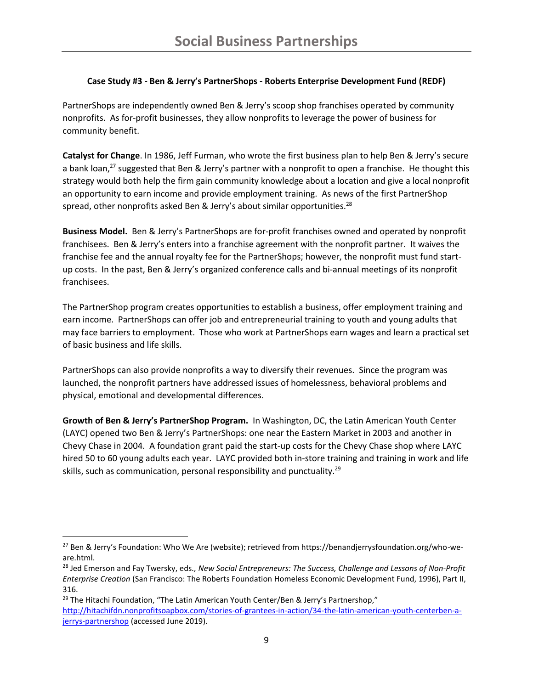### **Case Study #3 - Ben & Jerry's PartnerShops - Roberts Enterprise Development Fund (REDF)**

PartnerShops are independently owned Ben & Jerry's scoop shop franchises operated by community nonprofits. As for-profit businesses, they allow nonprofits to leverage the power of business for community benefit.

**Catalyst for Change**. In 1986, Jeff Furman, who wrote the first business plan to help Ben & Jerry's secure a bank loan,<sup>27</sup> suggested that Ben & Jerry's partner with a nonprofit to open a franchise. He thought this strategy would both help the firm gain community knowledge about a location and give a local nonprofit an opportunity to earn income and provide employment training. As news of the first PartnerShop spread, other nonprofits asked Ben & Jerry's about similar opportunities.<sup>28</sup>

**Business Model.** Ben & Jerry's PartnerShops are for-profit franchises owned and operated by nonprofit franchisees. Ben & Jerry's enters into a franchise agreement with the nonprofit partner. It waives the franchise fee and the annual royalty fee for the PartnerShops; however, the nonprofit must fund startup costs. In the past, Ben & Jerry's organized conference calls and bi-annual meetings of its nonprofit franchisees.

The PartnerShop program creates opportunities to establish a business, offer employment training and earn income. PartnerShops can offer job and entrepreneurial training to youth and young adults that may face barriers to employment. Those who work at PartnerShops earn wages and learn a practical set of basic business and life skills.

PartnerShops can also provide nonprofits a way to diversify their revenues. Since the program was launched, the nonprofit partners have addressed issues of homelessness, behavioral problems and physical, emotional and developmental differences.

**Growth of Ben & Jerry's PartnerShop Program.** In Washington, DC, the Latin American Youth Center (LAYC) opened two Ben & Jerry's PartnerShops: one near the Eastern Market in 2003 and another in Chevy Chase in 2004. A foundation grant paid the start-up costs for the Chevy Chase shop where LAYC hired 50 to 60 young adults each year. LAYC provided both in-store training and training in work and life skills, such as communication, personal responsibility and punctuality.<sup>29</sup>

 $\overline{a}$ 

<sup>&</sup>lt;sup>27</sup> Ben & Jerry's Foundation: Who We Are (website); retrieved from https://benandjerrysfoundation.org/who-weare.html.

<sup>28</sup> Jed Emerson and Fay Twersky, eds*., New Social Entrepreneurs: The Success, Challenge and Lessons of Non-Profit Enterprise Creation* (San Francisco: The Roberts Foundation Homeless Economic Development Fund, 1996), Part II, 316.

<sup>&</sup>lt;sup>29</sup> The Hitachi Foundation, "The Latin American Youth Center/Ben & Jerry's Partnershop," [http://hitachifdn.nonprofitsoapbox.com/stories-of-grantees-in-action/34-the-latin-american-youth-centerben-a](http://hitachifdn.nonprofitsoapbox.com/stories-of-grantees-in-action/34-the-latin-american-youth-centerben-a-jerrys-partnershop)[jerrys-partnershop](http://hitachifdn.nonprofitsoapbox.com/stories-of-grantees-in-action/34-the-latin-american-youth-centerben-a-jerrys-partnershop) (accessed June 2019).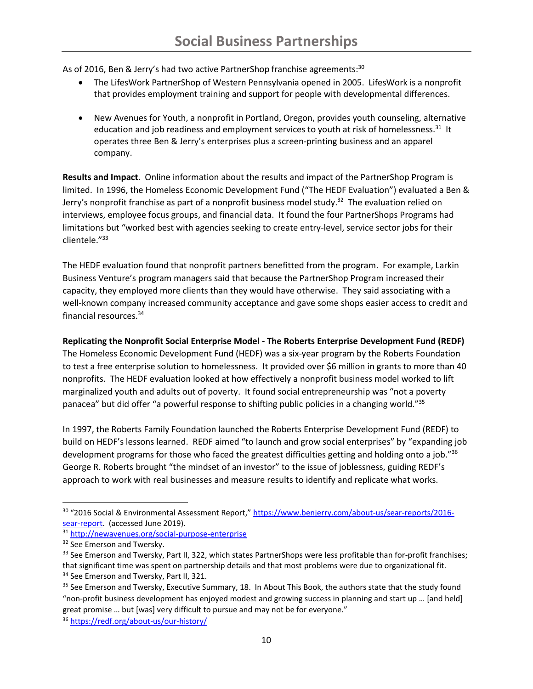As of 2016, Ben & Jerry's had two active PartnerShop franchise agreements:<sup>30</sup>

- The LifesWork PartnerShop of Western Pennsylvania opened in 2005. LifesWork is a nonprofit that provides employment training and support for people with developmental differences.
- New Avenues for Youth, a nonprofit in Portland, Oregon, provides youth counseling, alternative education and job readiness and employment services to youth at risk of homelessness.<sup>31</sup> It operates three Ben & Jerry's enterprises plus a screen-printing business and an apparel company.

**Results and Impact**. Online information about the results and impact of the PartnerShop Program is limited. In 1996, the Homeless Economic Development Fund ("The HEDF Evaluation") evaluated a Ben & Jerry's nonprofit franchise as part of a nonprofit business model study. 32 The evaluation relied on interviews, employee focus groups, and financial data. It found the four PartnerShops Programs had limitations but "worked best with agencies seeking to create entry-level, service sector jobs for their clientele."<sup>33</sup>

The HEDF evaluation found that nonprofit partners benefitted from the program. For example, Larkin Business Venture's program managers said that because the PartnerShop Program increased their capacity, they employed more clients than they would have otherwise. They said associating with a well-known company increased community acceptance and gave some shops easier access to credit and financial resources.<sup>34</sup>

**Replicating the Nonprofit Social Enterprise Model - The Roberts Enterprise Development Fund (REDF)** 

The Homeless Economic Development Fund (HEDF) was a six-year program by the Roberts Foundation to test a free enterprise solution to homelessness. It provided over \$6 million in grants to more than 40 nonprofits. The HEDF evaluation looked at how effectively a nonprofit business model worked to lift marginalized youth and adults out of poverty. It found social entrepreneurship was "not a poverty panacea" but did offer "a powerful response to shifting public policies in a changing world."<sup>35</sup>

In 1997, the Roberts Family Foundation launched the Roberts Enterprise Development Fund (REDF) to build on HEDF's lessons learned. REDF aimed "to launch and grow social enterprises" by "expanding job development programs for those who faced the greatest difficulties getting and holding onto a job."<sup>36</sup> George R. Roberts brought "the mindset of an investor" to the issue of joblessness, guiding REDF's approach to work with real businesses and measure results to identify and replicate what works.

<sup>30 &</sup>quot;2016 Social & Environmental Assessment Report," [https://www.benjerry.com/about-us/sear-reports/2016](https://www.benjerry.com/about-us/sear-reports/2016-sear-report) [sear-report.](https://www.benjerry.com/about-us/sear-reports/2016-sear-report) (accessed June 2019).

<sup>31</sup> <http://newavenues.org/social-purpose-enterprise>

<sup>&</sup>lt;sup>32</sup> See Emerson and Twersky.

<sup>33</sup> See Emerson and Twersky, Part II, 322, which states PartnerShops were less profitable than for-profit franchises; that significant time was spent on partnership details and that most problems were due to organizational fit. <sup>34</sup> See Emerson and Twersky, Part II, 321.

<sup>&</sup>lt;sup>35</sup> See Emerson and Twersky, Executive Summary, 18. In About This Book, the authors state that the study found "non-profit business development has enjoyed modest and growing success in planning and start up … [and held] great promise … but [was] very difficult to pursue and may not be for everyone."

<sup>36</sup> <https://redf.org/about-us/our-history/>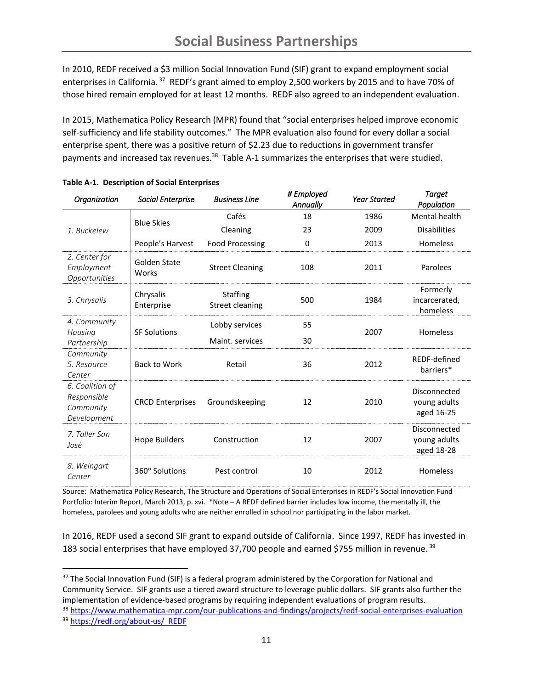In 2010, REDF received a \$3 million Social Innovation Fund (SIF) grant to expand employment social enterprises in California.<sup>37</sup> REDF's grant aimed to employ 2,500 workers by 2015 and to have 70% of those hired remain employed for at least 12 months. REDF also agreed to an independent evaluation.

In 2015, Mathematica Policy Research (MPR) found that "social enterprises helped improve economic self-sufficiency and life stability outcomes." The MPR evaluation also found for every dollar a social enterprise spent, there was a positive return of \$2.23 due to reductions in government transfer payments and increased tax revenues.<sup>38</sup> Table A-1 summarizes the enterprises that were studied.

| Organization                                               | <b>Social Enterprise</b> | <b>Business Line</b>               | # Employed<br><b>Annually</b> | <b>Year Started</b> | Target<br>Population                       |
|------------------------------------------------------------|--------------------------|------------------------------------|-------------------------------|---------------------|--------------------------------------------|
| 1. Buckelew                                                | <b>Blue Skies</b>        | Cafés                              | 18                            | 1986                | <b>Mental health</b>                       |
|                                                            |                          | Cleaning                           | 23                            | 2009                | <b>Disabilities</b>                        |
|                                                            | People's Harvest         | <b>Food Processing</b>             | 0                             | 2013                | Homeless                                   |
| 2. Center for<br>Employment<br>Opportunities               | Golden State<br>Works    | <b>Street Cleaning</b>             | 108                           | 2011                | Parolees                                   |
| 3. Chrysalis                                               | Chrysalis<br>Enterprise  | <b>Staffing</b><br>Street cleaning | 500                           | 1984                | Formerly<br>incarcerated,<br>homeless      |
| 4. Community<br>Housing<br>Partnership                     | <b>SF Solutions</b>      | Lobby services                     | 55                            | 2007                | Homeless                                   |
|                                                            |                          | Maint, services                    | 30                            |                     |                                            |
| Community<br>5. Resource<br>Center                         | <b>Back to Work</b>      | Retail                             | 36                            | 2012                | REDF-defined<br>barriers*                  |
| 6. Coalition of<br>Responsible<br>Community<br>Development | <b>CRCD Enterprises</b>  | Groundskeeping                     | 12                            | 2010                | Disconnected<br>young adults<br>aged 16-25 |
| 7. Taller San<br>José                                      | <b>Hope Builders</b>     | Construction                       | 12                            | 2007                | Disconnected<br>young adults<br>aged 18-28 |
| 8. Weingart<br>Center                                      | 360° Solutions           | Pest control                       | 10                            | 2012                | Homeless                                   |

|  | <b>Table A-1. Description of Social Enterprises</b> |  |  |
|--|-----------------------------------------------------|--|--|
|--|-----------------------------------------------------|--|--|

 $\overline{\phantom{a}}$ 

Source: Mathematica Policy Research, The Structure and Operations of Social Enterprises in REDF's Social Innovation Fund Portfolio: Interim Report, March 2013, p. xvi. \*Note – A REDF defined barrier includes low income, the mentally ill, the homeless, parolees and young adults who are neither enrolled in school nor participating in the labor market.

In 2016, REDF used a second SIF grant to expand outside of California. Since 1997, REDF has invested in 183 social enterprises that have employed 37,700 people and earned \$755 million in revenue.<sup>39</sup>

<sup>37</sup> The Social Innovation Fund (SIF) is a federal program administered by the Corporation for National and Community Service. SIF grants use a tiered award structure to leverage public dollars. SIF grants also further the implementation of evidence-based programs by requiring independent evaluations of program results.

<sup>38</sup> <https://www.mathematica-mpr.com/our-publications-and-findings/projects/redf-social-enterprises-evaluation> <sup>39</sup> <https://redf.org/about-us/>REDF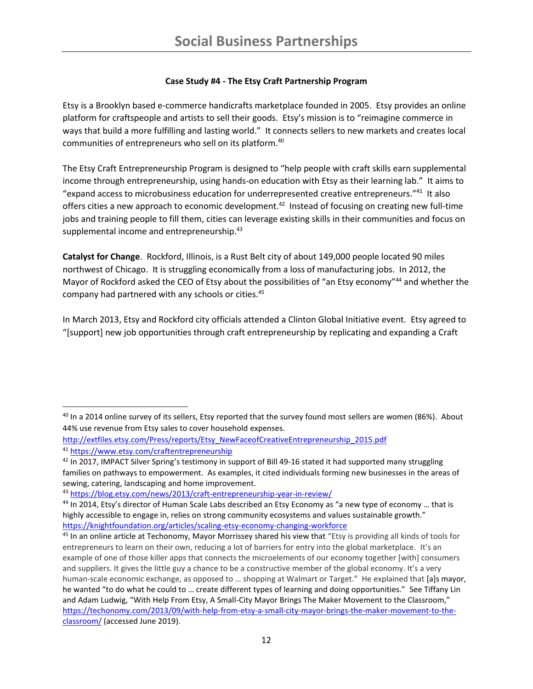# **Case Study #4 - The Etsy Craft Partnership Program**

Etsy is a Brooklyn based e-commerce handicrafts marketplace founded in 2005. Etsy provides an online platform for craftspeople and artists to sell their goods. Etsy's mission is to "reimagine commerce in ways that build a more fulfilling and lasting world." It connects sellers to new markets and creates local communities of entrepreneurs who sell on its platform.<sup>40</sup>

The Etsy Craft Entrepreneurship Program is designed to "help people with craft skills earn supplemental income through entrepreneurship, using hands-on education with Etsy as their learning lab." It aims to "expand access to microbusiness education for underrepresented creative entrepreneurs."<sup>41</sup> It also offers cities a new approach to economic development.<sup>42</sup> Instead of focusing on creating new full-time jobs and training people to fill them, cities can leverage existing skills in their communities and focus on supplemental income and entrepreneurship.<sup>43</sup>

**Catalyst for Change**. Rockford, Illinois, is a Rust Belt city of about 149,000 people located 90 miles northwest of Chicago. It is struggling economically from a loss of manufacturing jobs. In 2012, the Mayor of Rockford asked the CEO of Etsy about the possibilities of "an Etsy economy"<sup>44</sup> and whether the company had partnered with any schools or cities.<sup>45</sup>

In March 2013, Etsy and Rockford city officials attended a Clinton Global Initiative event. Etsy agreed to "[support] new job opportunities through craft entrepreneurship by replicating and expanding a Craft

 $\overline{\phantom{a}}$ <sup>40</sup> In a 2014 online survey of its sellers, Etsy reported that the survey found most sellers are women (86%). About 44% use revenue from Etsy sales to cover household expenses.

[http://extfiles.etsy.com/Press/reports/Etsy\\_NewFaceofCreativeEntrepreneurship\\_2015.pdf](http://extfiles.etsy.com/Press/reports/Etsy_NewFaceofCreativeEntrepreneurship_2015.pdf) <sup>41</sup> <https://www.etsy.com/craftentrepreneurship>

<sup>&</sup>lt;sup>42</sup> In 2017, IMPACT Silver Spring's testimony in support of Bill 49-16 stated it had supported many struggling families on pathways to empowerment. As examples, it cited individuals forming new businesses in the areas of sewing, catering, landscaping and home improvement.

<sup>43</sup> <https://blog.etsy.com/news/2013/craft-entrepreneurship-year-in-review/>

<sup>44</sup> In 2014, Etsy's director of Human Scale Labs described an Etsy Economy as "a new type of economy ... that is highly accessible to engage in, relies on strong community ecosystems and values sustainable growth." <https://knightfoundation.org/articles/scaling-etsy-economy-changing-workforce>

<sup>&</sup>lt;sup>45</sup> In an online article at Techonomy, Mayor Morrissey shared his view that "Etsy is providing all kinds of tools for entrepreneurs to learn on their own, reducing a lot of barriers for entry into the global marketplace. It's an example of one of those killer apps that connects the microelements of our economy together [with] consumers and suppliers. It gives the little guy a chance to be a constructive member of the global economy. It's a very human-scale economic exchange, as opposed to … shopping at Walmart or Target." He explained that [a]s mayor, he wanted "to do what he could to … create different types of learning and doing opportunities." See Tiffany Lin and Adam Ludwig, "With Help From Etsy, A Small-City Mayor Brings The Maker Movement to the Classroom," [https://techonomy.com/2013/09/with-help-from-etsy-a-small-city-mayor-brings-the-maker-movement-to-the](https://techonomy.com/2013/09/with-help-from-etsy-a-small-city-mayor-brings-the-maker-movement-to-the-classroom/)[classroom/](https://techonomy.com/2013/09/with-help-from-etsy-a-small-city-mayor-brings-the-maker-movement-to-the-classroom/) (accessed June 2019).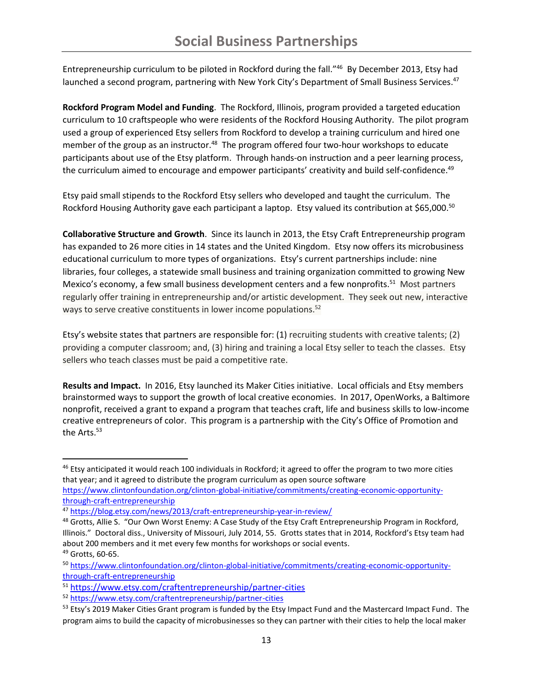Entrepreneurship curriculum to be piloted in Rockford during the fall."<sup>46</sup> By December 2013, Etsy had launched a second program, partnering with New York City's Department of Small Business Services.<sup>47</sup>

**Rockford Program Model and Funding**. The Rockford, Illinois, program provided a targeted education curriculum to 10 craftspeople who were residents of the Rockford Housing Authority. The pilot program used a group of experienced Etsy sellers from Rockford to develop a training curriculum and hired one member of the group as an instructor.<sup>48</sup> The program offered four two-hour workshops to educate participants about use of the Etsy platform. Through hands-on instruction and a peer learning process, the curriculum aimed to encourage and empower participants' creativity and build self-confidence.<sup>49</sup>

Etsy paid small stipends to the Rockford Etsy sellers who developed and taught the curriculum. The Rockford Housing Authority gave each participant a laptop. Etsy valued its contribution at \$65,000.<sup>50</sup>

**Collaborative Structure and Growth**. Since its launch in 2013, the Etsy Craft Entrepreneurship program has expanded to 26 more cities in 14 states and the United Kingdom. Etsy now offers its microbusiness educational curriculum to more types of organizations. Etsy's current partnerships include: nine libraries, four colleges, a statewide small business and training organization committed to growing New Mexico's economy, a few small business development centers and a few nonprofits.<sup>51</sup> Most partners regularly offer training in entrepreneurship and/or artistic development. They seek out new, interactive ways to serve creative constituents in lower income populations.<sup>52</sup>

Etsy's website states that partners are responsible for: (1) recruiting students with creative talents; (2) providing a computer classroom; and, (3) hiring and training a local Etsy seller to teach the classes. Etsy sellers who teach classes must be paid a competitive rate.

**Results and Impact.** In 2016, Etsy launched its Maker Cities initiative. Local officials and Etsy members brainstormed ways to support the growth of local creative economies. In 2017, OpenWorks, a Baltimore nonprofit, received a grant to expand a program that teaches craft, life and business skills to low-income creative entrepreneurs of color. This program is a partnership with the City's Office of Promotion and the Arts.<sup>53</sup>

l

<sup>&</sup>lt;sup>46</sup> Etsy anticipated it would reach 100 individuals in Rockford; it agreed to offer the program to two more cities that year; and it agreed to distribute the program curriculum as open source software

[https://www.clintonfoundation.org/clinton-global-initiative/commitments/creating-economic-opportunity](https://www.clintonfoundation.org/clinton-global-initiative/commitments/creating-economic-opportunity-through-craft-entrepreneurship)[through-craft-entrepreneurship](https://www.clintonfoundation.org/clinton-global-initiative/commitments/creating-economic-opportunity-through-craft-entrepreneurship)

<sup>47</sup> <https://blog.etsy.com/news/2013/craft-entrepreneurship-year-in-review/>

<sup>48</sup> Grotts, Allie S. "Our Own Worst Enemy: A Case Study of the Etsy Craft Entrepreneurship Program in Rockford, Illinois." Doctoral diss., University of Missouri, July 2014, 55. Grotts states that in 2014, Rockford's Etsy team had about 200 members and it met every few months for workshops or social events.

<sup>49</sup> Grotts, 60-65.

<sup>50</sup> [https://www.clintonfoundation.org/clinton-global-initiative/commitments/creating-economic-opportunity](https://www.clintonfoundation.org/clinton-global-initiative/commitments/creating-economic-opportunity-through-craft-entrepreneurship)[through-craft-entrepreneurship](https://www.clintonfoundation.org/clinton-global-initiative/commitments/creating-economic-opportunity-through-craft-entrepreneurship)

<sup>51</sup> <https://www.etsy.com/craftentrepreneurship/partner-cities>

<sup>52</sup> <https://www.etsy.com/craftentrepreneurship/partner-cities>

<sup>&</sup>lt;sup>53</sup> Etsy's 2019 Maker Cities Grant program is funded by the Etsy Impact Fund and the Mastercard Impact Fund. The program aims to build the capacity of microbusinesses so they can partner with their cities to help the local maker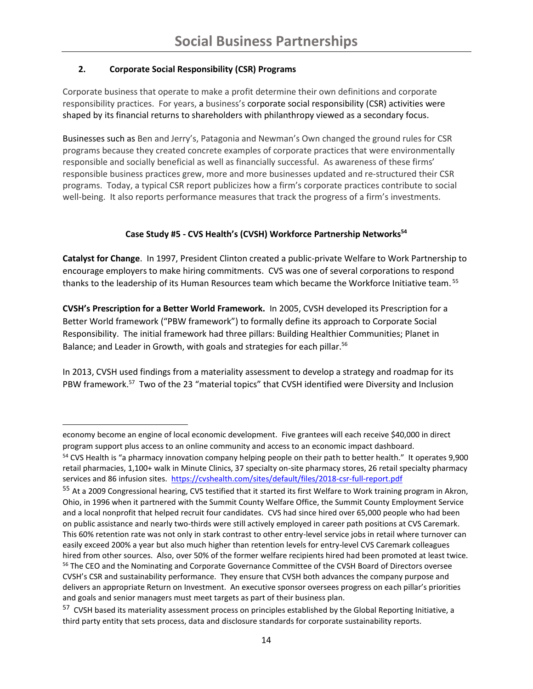# **2. Corporate Social Responsibility (CSR) Programs**

l

Corporate business that operate to make a profit determine their own definitions and corporate responsibility practices. For years, a business's corporate social responsibility (CSR) activities were shaped by its financial returns to shareholders with philanthropy viewed as a secondary focus.

Businesses such as Ben and Jerry's, Patagonia and Newman's Own changed the ground rules for CSR programs because they created concrete examples of corporate practices that were environmentally responsible and socially beneficial as well as financially successful. As awareness of these firms' responsible business practices grew, more and more businesses updated and re-structured their CSR programs. Today, a typical CSR report publicizes how a firm's corporate practices contribute to social well-being. It also reports performance measures that track the progress of a firm's investments.

## **Case Study #5 - CVS Health's (CVSH) Workforce Partnership Networks<sup>54</sup>**

**Catalyst for Change**. In 1997, President Clinton created a public-private Welfare to Work Partnership to encourage employers to make hiring commitments. CVS was one of several corporations to respond thanks to the leadership of its Human Resources team which became the Workforce Initiative team. <sup>55</sup>

**CVSH's Prescription for a Better World Framework.** In 2005, CVSH developed its Prescription for a Better World framework ("PBW framework") to formally define its approach to Corporate Social Responsibility. The initial framework had three pillars: Building Healthier Communities; Planet in Balance; and Leader in Growth, with goals and strategies for each pillar.<sup>56</sup>

In 2013, CVSH used findings from a materiality assessment to develop a strategy and roadmap for its PBW framework.<sup>57</sup> Two of the 23 "material topics" that CVSH identified were Diversity and Inclusion

economy become an engine of local economic development. Five grantees will each receive \$40,000 in direct program support plus access to an online community and access to an economic impact dashboard.

<sup>&</sup>lt;sup>54</sup> CVS Health is "a pharmacy innovation company helping people on their path to better health." It operates 9,900 retail pharmacies, 1,100+ walk in Minute Clinics, 37 specialty on-site pharmacy stores, 26 retail specialty pharmacy services and 86 infusion sites. <https://cvshealth.com/sites/default/files/2018-csr-full-report.pdf>

<sup>55</sup> At a 2009 Congressional hearing, CVS testified that it started its first Welfare to Work training program in Akron, Ohio, in 1996 when it partnered with the Summit County Welfare Office, the Summit County Employment Service and a local nonprofit that helped recruit four candidates. CVS had since hired over 65,000 people who had been on public assistance and nearly two-thirds were still actively employed in career path positions at CVS Caremark. This 60% retention rate was not only in stark contrast to other entry-level service jobs in retail where turnover can easily exceed 200% a year but also much higher than retention levels for entry-level CVS Caremark colleagues hired from other sources. Also, over 50% of the former welfare recipients hired had been promoted at least twice. <sup>56</sup> The CEO and the Nominating and Corporate Governance Committee of the CVSH Board of Directors oversee CVSH's CSR and sustainability performance. They ensure that CVSH both advances the company purpose and delivers an appropriate Return on Investment. An executive sponsor oversees progress on each pillar's priorities and goals and senior managers must meet targets as part of their business plan.

<sup>&</sup>lt;sup>57</sup> CVSH based its materiality assessment process on principles established by the Global Reporting Initiative, a third party entity that sets process, data and disclosure standards for corporate sustainability reports.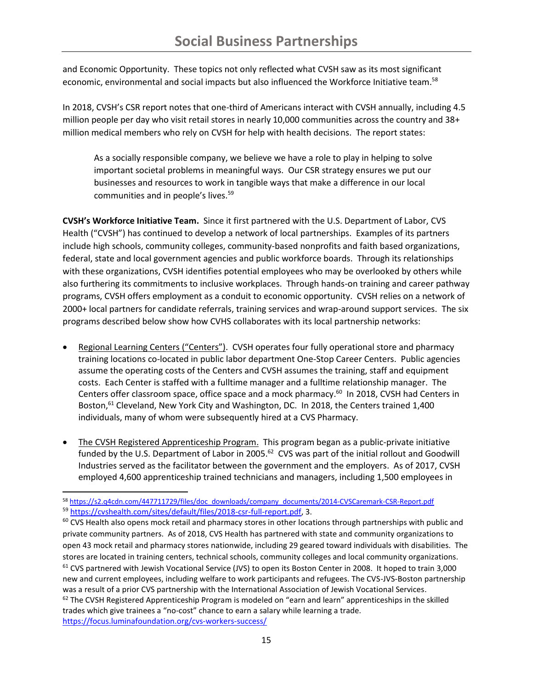and Economic Opportunity. These topics not only reflected what CVSH saw as its most significant economic, environmental and social impacts but also influenced the Workforce Initiative team.<sup>58</sup>

In 2018, CVSH's CSR report notes that one-third of Americans interact with CVSH annually, including 4.5 million people per day who visit retail stores in nearly 10,000 communities across the country and 38+ million medical members who rely on CVSH for help with health decisions. The report states:

As a socially responsible company, we believe we have a role to play in helping to solve important societal problems in meaningful ways. Our CSR strategy ensures we put our businesses and resources to work in tangible ways that make a difference in our local communities and in people's lives.<sup>59</sup>

**CVSH's Workforce Initiative Team.** Since it first partnered with the U.S. Department of Labor, CVS Health ("CVSH") has continued to develop a network of local partnerships. Examples of its partners include high schools, community colleges, community-based nonprofits and faith based organizations, federal, state and local government agencies and public workforce boards. Through its relationships with these organizations, CVSH identifies potential employees who may be overlooked by others while also furthering its commitments to inclusive workplaces. Through hands-on training and career pathway programs, CVSH offers employment as a conduit to economic opportunity. CVSH relies on a network of 2000+ local partners for candidate referrals, training services and wrap-around support services. The six programs described below show how CVHS collaborates with its local partnership networks:

- Regional Learning Centers ("Centers"). CVSH operates four fully operational store and pharmacy training locations co-located in public labor department One-Stop Career Centers. Public agencies assume the operating costs of the Centers and CVSH assumes the training, staff and equipment costs. Each Center is staffed with a fulltime manager and a fulltime relationship manager. The Centers offer classroom space, office space and a mock pharmacy.<sup>60</sup> In 2018, CVSH had Centers in Boston,<sup>61</sup> Cleveland, New York City and Washington, DC. In 2018, the Centers trained 1,400 individuals, many of whom were subsequently hired at a CVS Pharmacy.
- The CVSH Registered Apprenticeship Program. This program began as a public-private initiative funded by the U.S. Department of Labor in 2005.<sup>62</sup> CVS was part of the initial rollout and Goodwill Industries served as the facilitator between the government and the employers. As of 2017, CVSH employed 4,600 apprenticeship trained technicians and managers, including 1,500 employees in

<sup>58</sup> [https://s2.q4cdn.com/447711729/files/doc\\_downloads/company\\_documents/2014-CVSCaremark-CSR-Report.pdf](https://s2.q4cdn.com/447711729/files/doc_downloads/company_documents/2014-CVSCaremark-CSR-Report.pdf)

<sup>59</sup> [https://cvshealth.com/sites/default/files/2018-csr-full-report.pdf,](https://cvshealth.com/sites/default/files/2018-csr-full-report.pdf) 3.

<sup>&</sup>lt;sup>60</sup> CVS Health also opens mock retail and pharmacy stores in other locations through partnerships with public and private community partners. As of 2018, CVS Health has partnered with state and community organizations to open 43 mock retail and pharmacy stores nationwide, including 29 geared toward individuals with disabilities. The stores are located in training centers, technical schools, community colleges and local community organizations. <sup>61</sup> CVS partnered with Jewish Vocational Service (JVS) to open its Boston Center in 2008. It hoped to train 3,000 new and current employees, including welfare to work participants and refugees. The CVS-JVS-Boston partnership was a result of a prior CVS partnership with the International Association of Jewish Vocational Services.  $62$  The CVSH Registered Apprenticeship Program is modeled on "earn and learn" apprenticeships in the skilled trades which give trainees a "no-cost" chance to earn a salary while learning a trade. <https://focus.luminafoundation.org/cvs-workers-success/>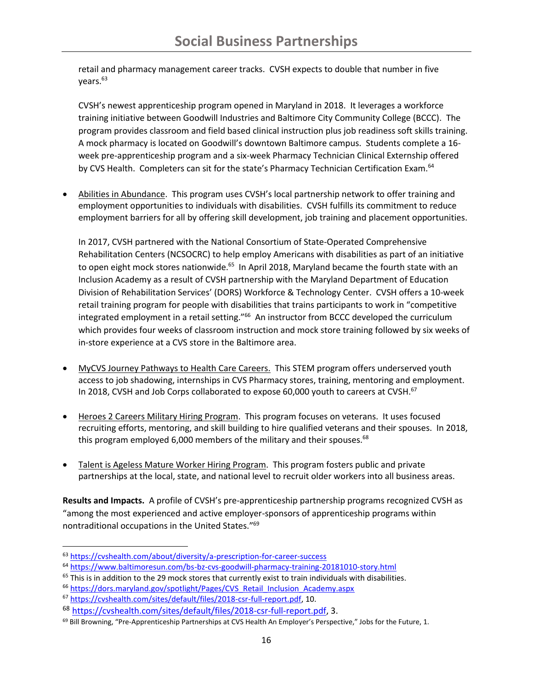retail and pharmacy management career tracks. CVSH expects to double that number in five vears.<sup>63</sup>

CVSH's newest apprenticeship program opened in Maryland in 2018. It leverages a workforce training initiative between Goodwill Industries and Baltimore City Community College (BCCC). The program provides classroom and field based clinical instruction plus job readiness soft skills training. A mock pharmacy is located on Goodwill's downtown Baltimore campus. Students complete a 16 week pre-apprenticeship program and a six-week Pharmacy Technician Clinical Externship offered by CVS Health. Completers can sit for the state's Pharmacy Technician Certification Exam.<sup>64</sup>

• Abilities in Abundance. This program uses CVSH's local partnership network to offer training and employment opportunities to individuals with disabilities. CVSH fulfills its commitment to reduce employment barriers for all by offering skill development, job training and placement opportunities.

In 2017, CVSH partnered with the National Consortium of State-Operated Comprehensive Rehabilitation Centers (NCSOCRC) to help employ Americans with disabilities as part of an initiative to open eight mock stores nationwide.<sup>65</sup> In April 2018, Maryland became the fourth state with an Inclusion Academy as a result of CVSH partnership with the Maryland Department of Education Division of Rehabilitation Services' (DORS) Workforce & Technology Center. CVSH offers a 10-week retail training program for people with disabilities that trains participants to work in "competitive integrated employment in a retail setting."<sup>66</sup> An instructor from BCCC developed the curriculum which provides four weeks of classroom instruction and mock store training followed by six weeks of in-store experience at a CVS store in the Baltimore area.

- MyCVS Journey Pathways to Health Care Careers. This STEM program offers underserved youth access to job shadowing, internships in CVS Pharmacy stores, training, mentoring and employment. In 2018, CVSH and Job Corps collaborated to expose 60,000 youth to careers at CVSH.<sup>67</sup>
- Heroes 2 Careers Military Hiring Program. This program focuses on veterans. It uses focused recruiting efforts, mentoring, and skill building to hire qualified veterans and their spouses. In 2018, this program employed 6,000 members of the military and their spouses.<sup>68</sup>
- Talent is Ageless Mature Worker Hiring Program. This program fosters public and private partnerships at the local, state, and national level to recruit older workers into all business areas.

**Results and Impacts.** A profile of CVSH's pre-apprenticeship partnership programs recognized CVSH as "among the most experienced and active employer-sponsors of apprenticeship programs within nontraditional occupations in the United States." 69

<sup>63</sup> <https://cvshealth.com/about/diversity/a-prescription-for-career-success>

<sup>64</sup> <https://www.baltimoresun.com/bs-bz-cvs-goodwill-pharmacy-training-20181010-story.html>

 $65$  This is in addition to the 29 mock stores that currently exist to train individuals with disabilities.

<sup>66</sup> [https://dors.maryland.gov/spotlight/Pages/CVS\\_Retail\\_Inclusion\\_Academy.aspx](https://dors.maryland.gov/spotlight/Pages/CVS_Retail_Inclusion_Academy.aspx)

<sup>67</sup> [https://cvshealth.com/sites/default/files/2018-csr-full-report.pdf,](https://cvshealth.com/sites/default/files/2018-csr-full-report.pdf) 10.

<sup>68</sup> [https://cvshealth.com/sites/default/files/2018-csr-full-report.pdf,](https://cvshealth.com/sites/default/files/2018-csr-full-report.pdf) 3.

<sup>69</sup> Bill Browning, "Pre-Apprenticeship Partnerships at CVS Health An Employer's Perspective," Jobs for the Future, 1.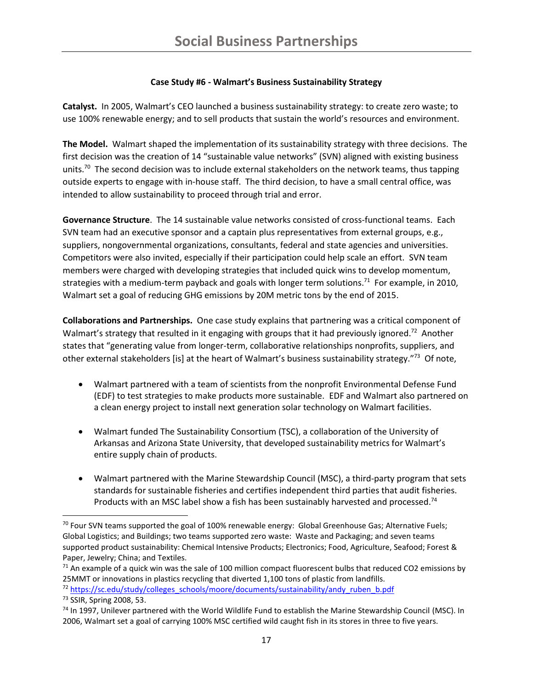### **Case Study #6 - Walmart's Business Sustainability Strategy**

**Catalyst.** In 2005, Walmart's CEO launched a business sustainability strategy: to create zero waste; to use 100% renewable energy; and to sell products that sustain the world's resources and environment.

**The Model.** Walmart shaped the implementation of its sustainability strategy with three decisions. The first decision was the creation of 14 "sustainable value networks" (SVN) aligned with existing business units.<sup>70</sup> The second decision was to include external stakeholders on the network teams, thus tapping outside experts to engage with in-house staff. The third decision, to have a small central office, was intended to allow sustainability to proceed through trial and error.

**Governance Structure**. The 14 sustainable value networks consisted of cross-functional teams. Each SVN team had an executive sponsor and a captain plus representatives from external groups, e.g., suppliers, nongovernmental organizations, consultants, federal and state agencies and universities. Competitors were also invited, especially if their participation could help scale an effort. SVN team members were charged with developing strategies that included quick wins to develop momentum, strategies with a medium-term payback and goals with longer term solutions.<sup>71</sup> For example, in 2010, Walmart set a goal of reducing GHG emissions by 20M metric tons by the end of 2015.

**Collaborations and Partnerships.** One case study explains that partnering was a critical component of Walmart's strategy that resulted in it engaging with groups that it had previously ignored.<sup>72</sup> Another states that "generating value from longer-term, collaborative relationships nonprofits, suppliers, and other external stakeholders [is] at the heart of Walmart's business sustainability strategy."<sup>73</sup> Of note,

- Walmart partnered with a team of scientists from the nonprofit Environmental Defense Fund (EDF) to test strategies to make products more sustainable. EDF and Walmart also partnered on a clean energy project to install next generation solar technology on Walmart facilities.
- Walmart funded The Sustainability Consortium (TSC), a collaboration of the University of Arkansas and Arizona State University, that developed sustainability metrics for Walmart's entire supply chain of products.
- Walmart partnered with the Marine Stewardship Council (MSC), a third-party program that sets standards for sustainable fisheries and certifies independent third parties that audit fisheries. Products with an MSC label show a fish has been sustainably harvested and processed.<sup>74</sup>

 $\overline{a}$ 

 $70$  Four SVN teams supported the goal of 100% renewable energy: Global Greenhouse Gas; Alternative Fuels; Global Logistics; and Buildings; two teams supported zero waste: Waste and Packaging; and seven teams supported product sustainability: Chemical Intensive Products; Electronics; Food, Agriculture, Seafood; Forest & Paper, Jewelry; China; and Textiles.

 $71$  An example of a quick win was the sale of 100 million compact fluorescent bulbs that reduced CO2 emissions by 25MMT or innovations in plastics recycling that diverted 1,100 tons of plastic from landfills.

<sup>72</sup> [https://sc.edu/study/colleges\\_schools/moore/documents/sustainability/andy\\_ruben\\_b.pdf](https://sc.edu/study/colleges_schools/moore/documents/sustainability/andy_ruben_b.pdf)

<sup>73</sup> SSIR, Spring 2008, 53.

<sup>&</sup>lt;sup>74</sup> In 1997, Unilever partnered with the World Wildlife Fund to establish the Marine Stewardship Council (MSC). In 2006, Walmart set a goal of carrying 100% MSC certified wild caught fish in its stores in three to five years.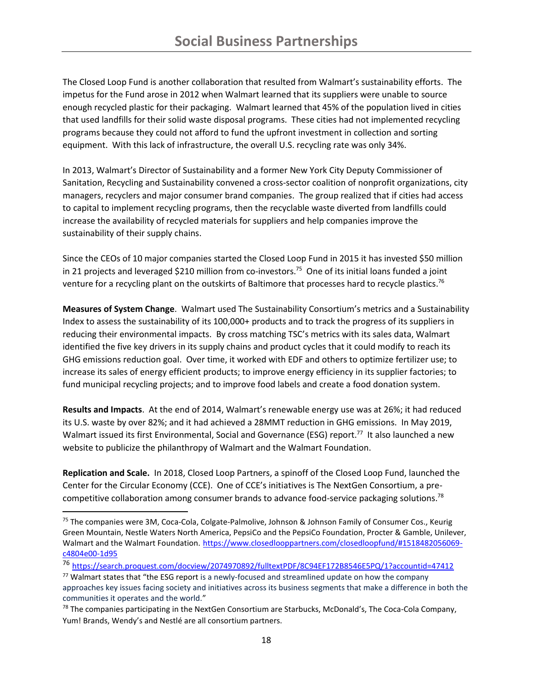The Closed Loop Fund is another collaboration that resulted from Walmart's sustainability efforts. The impetus for the Fund arose in 2012 when Walmart learned that its suppliers were unable to source enough recycled plastic for their packaging. Walmart learned that 45% of the population lived in cities that used landfills for their solid waste disposal programs. These cities had not implemented recycling programs because they could not afford to fund the upfront investment in collection and sorting equipment. With this lack of infrastructure, the overall U.S. recycling rate was only 34%.

In 2013, Walmart's Director of Sustainability and a former New York City Deputy Commissioner of Sanitation, Recycling and Sustainability convened a cross-sector coalition of nonprofit organizations, city managers, recyclers and major consumer brand companies. The group realized that if cities had access to capital to implement recycling programs, then the recyclable waste diverted from landfills could increase the availability of recycled materials for suppliers and help companies improve the sustainability of their supply chains.

Since the CEOs of 10 major companies started the Closed Loop Fund in 2015 it has invested \$50 million in 21 projects and leveraged \$210 million from co-investors. 75 One of its initial loans funded a joint venture for a recycling plant on the outskirts of Baltimore that processes hard to recycle plastics.<sup>76</sup>

**Measures of System Change**. Walmart used The Sustainability Consortium's metrics and a Sustainability Index to assess the sustainability of its 100,000+ products and to track the progress of its suppliers in reducing their environmental impacts. By cross matching TSC's metrics with its sales data, Walmart identified the five key drivers in its supply chains and product cycles that it could modify to reach its GHG emissions reduction goal. Over time, it worked with EDF and others to optimize fertilizer use; to increase its sales of energy efficient products; to improve energy efficiency in its supplier factories; to fund municipal recycling projects; and to improve food labels and create a food donation system.

**Results and Impacts**. At the end of 2014, Walmart's renewable energy use was at 26%; it had reduced its U.S. waste by over 82%; and it had achieved a 28MMT reduction in GHG emissions. In May 2019, Walmart issued its first Environmental, Social and Governance (ESG) report.<sup>77</sup> It also launched a new website to publicize the philanthropy of Walmart and the Walmart Foundation.

**Replication and Scale.** In 2018, Closed Loop Partners, a spinoff of the Closed Loop Fund, launched the Center for the Circular Economy (CCE). One of CCE's initiatives is The NextGen Consortium, a precompetitive collaboration among consumer brands to advance food-service packaging solutions.<sup>78</sup>

l

<sup>&</sup>lt;sup>75</sup> The companies were 3M, Coca-Cola, Colgate-Palmolive, Johnson & Johnson Family of Consumer Cos., Keurig Green Mountain, Nestle Waters North America, PepsiCo and the PepsiCo Foundation, Procter & Gamble, Unilever, Walmart and the Walmart Foundation. [https://www.closedlooppartners.com/closedloopfund/#1518482056069](https://www.closedlooppartners.com/closedloopfund/#1518482056069-c4804e00-1d95) [c4804e00-1d95](https://www.closedlooppartners.com/closedloopfund/#1518482056069-c4804e00-1d95)

<sup>76</sup> <https://search.proquest.com/docview/2074970892/fulltextPDF/8C94EF172B8546E5PQ/1?accountid=47412>

 $77$  Walmart states that "the ESG report is a newly-focused and streamlined update on how the company approaches key issues facing society and initiatives across its business segments that make a difference in both the communities it operates and the world."

 $78$  The companies participating in the NextGen Consortium are Starbucks, McDonald's, The Coca-Cola Company, Yum! Brands, Wendy's and Nestlé are all consortium partners.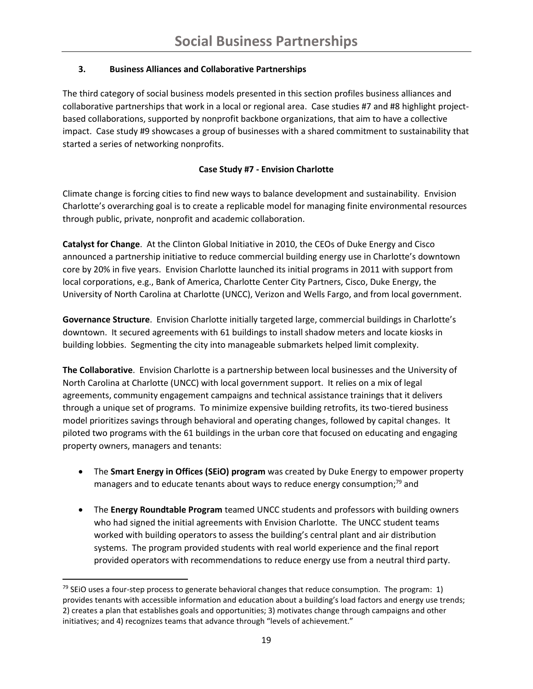# **3. Business Alliances and Collaborative Partnerships**

The third category of social business models presented in this section profiles business alliances and collaborative partnerships that work in a local or regional area. Case studies #7 and #8 highlight projectbased collaborations, supported by nonprofit backbone organizations, that aim to have a collective impact. Case study #9 showcases a group of businesses with a shared commitment to sustainability that started a series of networking nonprofits.

# **Case Study #7 - Envision Charlotte**

Climate change is forcing cities to find new ways to balance development and sustainability. Envision Charlotte's overarching goal is to create a replicable model for managing finite environmental resources through public, private, nonprofit and academic collaboration.

**Catalyst for Change**. At the Clinton Global Initiative in 2010, the CEOs of Duke Energy and Cisco announced a partnership initiative to reduce commercial building energy use in Charlotte's downtown core by 20% in five years. Envision Charlotte launched its initial programs in 2011 with support from local corporations, e.g., Bank of America, Charlotte Center City Partners, Cisco, Duke Energy, the University of North Carolina at Charlotte (UNCC), Verizon and Wells Fargo, and from local government.

**Governance Structure**. Envision Charlotte initially targeted large, commercial buildings in Charlotte's downtown. It secured agreements with 61 buildings to install shadow meters and locate kiosks in building lobbies. Segmenting the city into manageable submarkets helped limit complexity.

**The Collaborative**. Envision Charlotte is a partnership between local businesses and the University of North Carolina at Charlotte (UNCC) with local government support. It relies on a mix of legal agreements, community engagement campaigns and technical assistance trainings that it delivers through a unique set of programs. To minimize expensive building retrofits, its two-tiered business model prioritizes savings through behavioral and operating changes, followed by capital changes. It piloted two programs with the 61 buildings in the urban core that focused on educating and engaging property owners, managers and tenants:

- The **Smart Energy in Offices (SEiO) program** was created by Duke Energy to empower property managers and to educate tenants about ways to reduce energy consumption;<sup>79</sup> and
- The **Energy Roundtable Program** teamed UNCC students and professors with building owners who had signed the initial agreements with Envision Charlotte. The UNCC student teams worked with building operators to assess the building's central plant and air distribution systems. The program provided students with real world experience and the final report provided operators with recommendations to reduce energy use from a neutral third party.

l

 $79$  SEiO uses a four-step process to generate behavioral changes that reduce consumption. The program: 1) provides tenants with accessible information and education about a building's load factors and energy use trends; 2) creates a plan that establishes goals and opportunities; 3) motivates change through campaigns and other initiatives; and 4) recognizes teams that advance through "levels of achievement."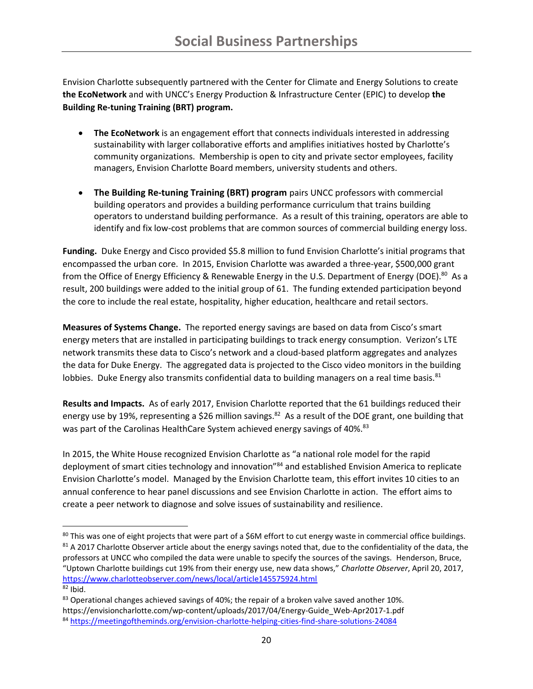Envision Charlotte subsequently partnered with the Center for Climate and Energy Solutions to create **the EcoNetwork** and with UNCC's Energy Production & Infrastructure Center (EPIC) to develop **the Building Re-tuning Training (BRT) program.**

- **The EcoNetwork** is an engagement effort that connects individuals interested in addressing sustainability with larger collaborative efforts and amplifies initiatives hosted by Charlotte's community organizations. Membership is open to city and private sector employees, facility managers, Envision Charlotte Board members, university students and others.
- **The Building Re-tuning Training (BRT) program** pairs UNCC professors with commercial building operators and provides a building performance curriculum that trains building operators to understand building performance. As a result of this training, operators are able to identify and fix low-cost problems that are common sources of commercial building energy loss.

**Funding.** Duke Energy and Cisco provided \$5.8 million to fund Envision Charlotte's initial programs that encompassed the urban core.In 2015, Envision Charlotte was awarded a three-year, \$500,000 grant from the Office of Energy Efficiency & Renewable Energy in the U.S. Department of Energy (DOE).<sup>80</sup> As a result, 200 buildings were added to the initial group of 61. The funding extended participation beyond the core to include the real estate, hospitality, higher education, healthcare and retail sectors.

**Measures of Systems Change.** The reported energy savings are based on data from Cisco's smart energy meters that are installed in participating buildings to track energy consumption. Verizon's LTE network transmits these data to Cisco's network and a cloud-based platform aggregates and analyzes the data for Duke Energy. The aggregated data is projected to the Cisco video monitors in the building lobbies. Duke Energy also transmits confidential data to building managers on a real time basis.<sup>81</sup>

**Results and Impacts.** As of early 2017, Envision Charlotte reported that the 61 buildings reduced their energy use by 19%, representing a \$26 million savings.<sup>82</sup> As a result of the DOE grant, one building that was part of the Carolinas HealthCare System achieved energy savings of 40%.<sup>83</sup>

In 2015, the White House recognized Envision Charlotte as "a national role model for the rapid deployment of smart cities technology and innovation"<sup>84</sup> and established Envision America to replicate Envision Charlotte's model. Managed by the Envision Charlotte team, this effort invites 10 cities to an annual conference to hear panel discussions and see Envision Charlotte in action. The effort aims to create a peer network to diagnose and solve issues of sustainability and resilience.

 $\overline{\phantom{a}}$ <sup>80</sup> This was one of eight projects that were part of a \$6M effort to cut energy waste in commercial office buildings. 81 A 2017 Charlotte Observer article about the energy savings noted that, due to the confidentiality of the data, the professors at UNCC who compiled the data were unable to specify the sources of the savings. Henderson, Bruce, "Uptown Charlotte buildings cut 19% from their energy use, new data shows," *Charlotte Observer*, April 20, 2017, <https://www.charlotteobserver.com/news/local/article145575924.html>

 $82$  Ibid.

 $83$  Operational changes achieved savings of 40%; the repair of a broken valve saved another 10%. https://envisioncharlotte.com/wp-content/uploads/2017/04/Energy-Guide\_Web-Apr2017-1.pdf <sup>84</sup> <https://meetingoftheminds.org/envision-charlotte-helping-cities-find-share-solutions-24084>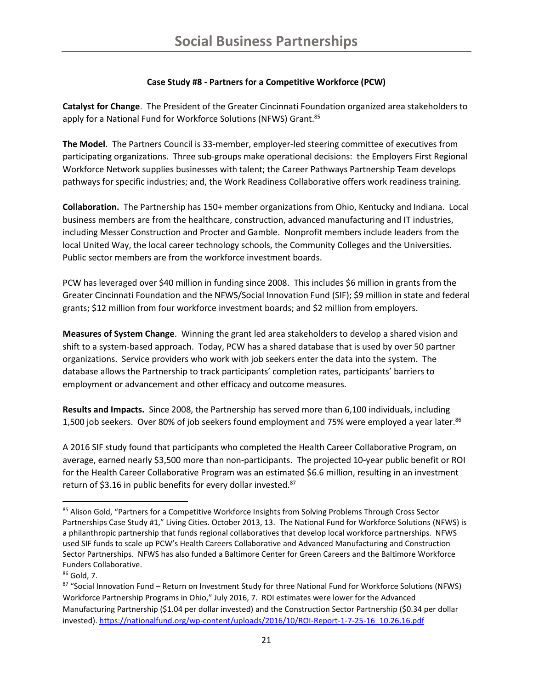### **Case Study #8 - Partners for a Competitive Workforce (PCW)**

**Catalyst for Change**. The President of the Greater Cincinnati Foundation organized area stakeholders to apply for a National Fund for Workforce Solutions (NFWS) Grant.<sup>85</sup>

**The Model**. The Partners Council is 33-member, employer-led steering committee of executives from participating organizations. Three sub-groups make operational decisions: the Employers First Regional Workforce Network supplies businesses with talent; the Career Pathways Partnership Team develops pathways for specific industries; and, the Work Readiness Collaborative offers work readiness training.

**Collaboration.** The Partnership has 150+ member organizations from Ohio, Kentucky and Indiana. Local business members are from the healthcare, construction, advanced manufacturing and IT industries, including Messer Construction and Procter and Gamble. Nonprofit members include leaders from the local United Way, the local career technology schools, the Community Colleges and the Universities. Public sector members are from the workforce investment boards.

PCW has leveraged over \$40 million in funding since 2008. This includes \$6 million in grants from the Greater Cincinnati Foundation and the NFWS/Social Innovation Fund (SIF); \$9 million in state and federal grants; \$12 million from four workforce investment boards; and \$2 million from employers.

**Measures of System Change**. Winning the grant led area stakeholders to develop a shared vision and shift to a system-based approach. Today, PCW has a shared database that is used by over 50 partner organizations. Service providers who work with job seekers enter the data into the system. The database allows the Partnership to track participants' completion rates, participants' barriers to employment or advancement and other efficacy and outcome measures.

**Results and Impacts.** Since 2008, the Partnership has served more than 6,100 individuals, including 1,500 job seekers. Over 80% of job seekers found employment and 75% were employed a year later.<sup>86</sup>

A 2016 SIF study found that participants who completed the Health Career Collaborative Program, on average, earned nearly \$3,500 more than non-participants. The projected 10-year public benefit or ROI for the Health Career Collaborative Program was an estimated \$6.6 million, resulting in an investment return of \$3.16 in public benefits for every dollar invested.<sup>87</sup>

 $\overline{a}$ 

<sup>85</sup> Alison Gold, "Partners for a Competitive Workforce Insights from Solving Problems Through Cross Sector Partnerships Case Study #1," Living Cities. October 2013, 13. The National Fund for Workforce Solutions (NFWS) is a philanthropic partnership that funds regional collaboratives that develop local workforce partnerships. NFWS used SIF funds to scale up PCW's Health Careers Collaborative and Advanced Manufacturing and Construction Sector Partnerships. NFWS has also funded a Baltimore Center for Green Careers and the Baltimore Workforce Funders Collaborative.

<sup>86</sup> Gold, 7.

<sup>87 &</sup>quot;Social Innovation Fund – Return on Investment Study for three National Fund for Workforce Solutions (NFWS) Workforce Partnership Programs in Ohio," July 2016, 7. ROI estimates were lower for the Advanced Manufacturing Partnership (\$1.04 per dollar invested) and the Construction Sector Partnership (\$0.34 per dollar invested). [https://nationalfund.org/wp-content/uploads/2016/10/ROI-Report-1-7-25-16\\_10.26.16.pdf](https://nationalfund.org/wp-content/uploads/2016/10/ROI-Report-1-7-25-16_10.26.16.pdf)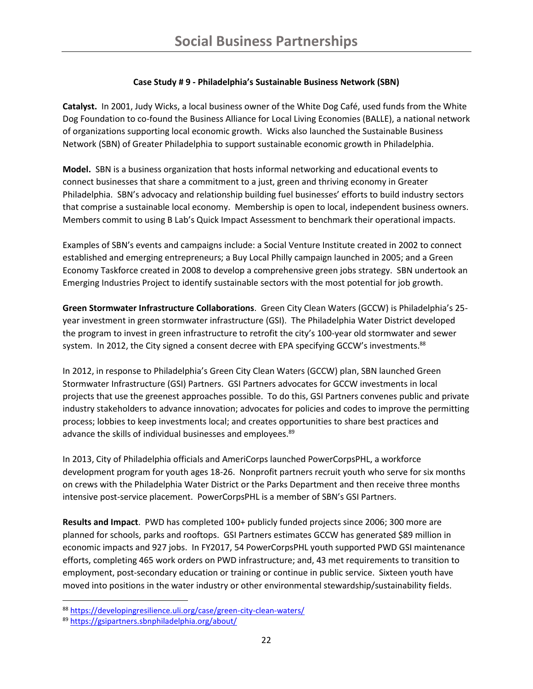## **Case Study # 9 - Philadelphia's Sustainable Business Network (SBN)**

**Catalyst.** In 2001, Judy Wicks, a local business owner of the White Dog Café, used funds from the White Dog Foundation to co-found the Business Alliance for Local Living Economies (BALLE), a national network of organizations supporting local economic growth. Wicks also launched the Sustainable Business Network (SBN) of Greater Philadelphia to support sustainable economic growth in Philadelphia.

**Model.** SBN is a business organization that hosts informal networking and educational events to connect businesses that share a commitment to a just, green and thriving economy in Greater Philadelphia. SBN's advocacy and relationship building fuel businesses' efforts to build industry sectors that comprise a sustainable local economy. Membership is open to local, independent business owners. Members commit to using B Lab's Quick Impact Assessment to benchmark their operational impacts.

Examples of SBN's events and campaigns include: a Social Venture Institute created in 2002 to connect established and emerging entrepreneurs; a Buy Local Philly campaign launched in 2005; and a Green Economy Taskforce created in 2008 to develop a comprehensive green jobs strategy. SBN undertook an Emerging Industries Project to identify sustainable sectors with the most potential for job growth.

**Green Stormwater Infrastructure Collaborations**. Green City Clean Waters (GCCW) is Philadelphia's 25 year investment in green stormwater infrastructure (GSI). The Philadelphia Water District developed the program to invest in green infrastructure to retrofit the city's 100-year old stormwater and sewer system. In 2012, the City signed a consent decree with EPA specifying GCCW's investments.<sup>88</sup>

In 2012, in response to Philadelphia's Green City Clean Waters (GCCW) plan, SBN launched Green Stormwater Infrastructure (GSI) Partners. GSI Partners advocates for GCCW investments in local projects that use the greenest approaches possible. To do this, GSI Partners convenes public and private industry stakeholders to advance innovation; advocates for policies and codes to improve the permitting process; lobbies to keep investments local; and creates opportunities to share best practices and advance the skills of individual businesses and employees.<sup>89</sup>

In 2013, City of Philadelphia officials and AmeriCorps launched PowerCorpsPHL, a workforce development program for youth ages 18-26. Nonprofit partners recruit youth who serve for six months on crews with the Philadelphia Water District or the Parks Department and then receive three months intensive post-service placement. PowerCorpsPHL is a member of SBN's GSI Partners.

**Results and Impact**. PWD has completed 100+ publicly funded projects since 2006; 300 more are planned for schools, parks and rooftops. GSI Partners estimates GCCW has generated \$89 million in economic impacts and 927 jobs. In FY2017, 54 PowerCorpsPHL youth supported PWD GSI maintenance efforts, completing 465 work orders on PWD infrastructure; and, 43 met requirements to transition to employment, post-secondary education or training or continue in public service. Sixteen youth have moved into positions in the water industry or other environmental stewardship/sustainability fields.

<sup>88</sup> <https://developingresilience.uli.org/case/green-city-clean-waters/>

<sup>89</sup> <https://gsipartners.sbnphiladelphia.org/about/>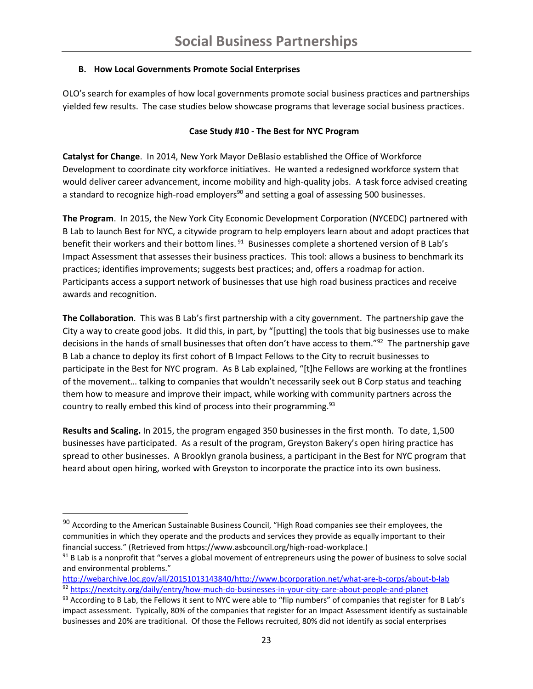## **B. How Local Governments Promote Social Enterprises**

OLO's search for examples of how local governments promote social business practices and partnerships yielded few results. The case studies below showcase programs that leverage social business practices.

### **Case Study #10 - The Best for NYC Program**

**Catalyst for Change**. In 2014, New York Mayor DeBlasio established the Office of Workforce Development to coordinate city workforce initiatives. He wanted a redesigned workforce system that would deliver career advancement, income mobility and high-quality jobs. A task force advised creating a standard to recognize high-road employers<sup>90</sup> and setting a goal of assessing 500 businesses.

**The Program**. In 2015, the New York City Economic Development Corporation (NYCEDC) partnered with B Lab to launch Best for NYC, a citywide program to help employers learn about and adopt practices that benefit their workers and their bottom lines.<sup>91</sup> Businesses complete a shortened version of B Lab's Impact Assessment that assesses their business practices. This tool: allows a business to benchmark its practices; identifies improvements; suggests best practices; and, offers a roadmap for action. Participants access a support network of businesses that use high road business practices and receive awards and recognition.

**The Collaboration**. This was B Lab's first partnership with a city government. The partnership gave the City a way to create good jobs. It did this, in part, by "[putting] the tools that big businesses use to make decisions in the hands of small businesses that often don't have access to them."<sup>92</sup> The partnership gave B Lab a chance to deploy its first cohort of B Impact Fellows to the City to recruit businesses to participate in the Best for NYC program. As B Lab explained, "[t]he Fellows are working at the frontlines of the movement… talking to companies that wouldn't necessarily seek out B Corp status and teaching them how to measure and improve their impact, while working with community partners across the country to really embed this kind of process into their programming.<sup>93</sup>

**Results and Scaling.** In 2015, the program engaged 350 businesses in the first month. To date, 1,500 businesses have participated. As a result of the program, Greyston Bakery's open hiring practice has spread to other businesses. A Brooklyn granola business, a participant in the Best for NYC program that heard about open hiring, worked with Greyston to incorporate the practice into its own business.

l

<sup>&</sup>lt;sup>90</sup> According to the American Sustainable Business Council, "High Road companies see their employees, the communities in which they operate and the products and services they provide as equally important to their financial success." (Retrieved from https://www.asbcouncil.org/high-road-workplace.)

<sup>&</sup>lt;sup>91</sup> B Lab is a nonprofit that "serves a global movement of entrepreneurs using the power of business to solve social and environmental problems."

[http://webarchive.loc.gov/all/20151013143840/http://www.bcorporation.net/what-are-b-corps/about-b-lab](http://webarchive.loc.gov/all/20151013143840/http:/www.bcorporation.net/what-are-b-corps/about-b-lab) <sup>92</sup> <https://nextcity.org/daily/entry/how-much-do-businesses-in-your-city-care-about-people-and-planet>

 $93$  According to B Lab, the Fellows it sent to NYC were able to "flip numbers" of companies that register for B Lab's impact assessment. Typically, 80% of the companies that register for an Impact Assessment identify as sustainable businesses and 20% are traditional. Of those the Fellows recruited, 80% did not identify as social enterprises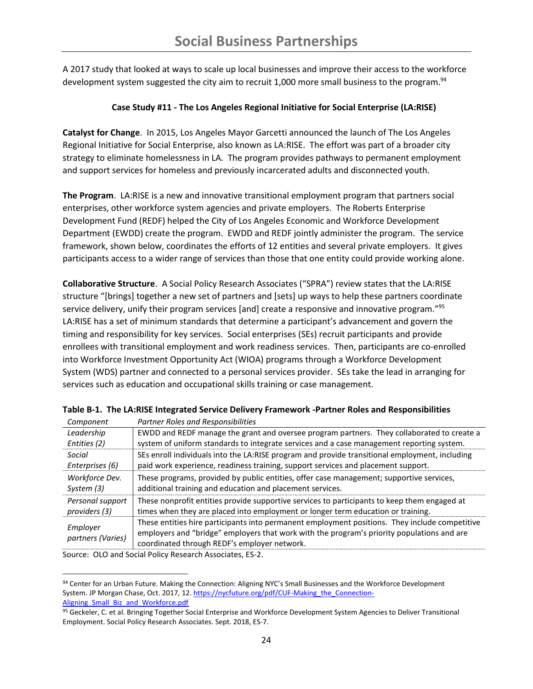A 2017 study that looked at ways to scale up local businesses and improve their access to the workforce development system suggested the city aim to recruit 1,000 more small business to the program.<sup>94</sup>

#### **Case Study #11 - The Los Angeles Regional Initiative for Social Enterprise (LA:RISE)**

**Catalyst for Change**. In 2015, Los Angeles Mayor Garcetti announced the launch of The Los Angeles Regional Initiative for Social Enterprise, also known as LA:RISE. The effort was part of a broader city strategy to eliminate homelessness in LA. The program provides pathways to permanent employment and support services for homeless and previously incarcerated adults and disconnected youth.

**The Program**. LA:RISE is a new and innovative transitional employment program that partners social enterprises, other workforce system agencies and private employers. The Roberts Enterprise Development Fund (REDF) helped the City of Los Angeles Economic and Workforce Development Department (EWDD) create the program. EWDD and REDF jointly administer the program. The service framework, shown below, coordinates the efforts of 12 entities and several private employers. It gives participants access to a wider range of services than those that one entity could provide working alone.

**Collaborative Structure**. A Social Policy Research Associates ("SPRA") review states that the LA:RISE structure "[brings] together a new set of partners and [sets] up ways to help these partners coordinate service delivery, unify their program services [and] create a responsive and innovative program."<sup>95</sup> LA:RISE has a set of minimum standards that determine a participant's advancement and govern the timing and responsibility for key services. Social enterprises (SEs) recruit participants and provide enrollees with transitional employment and work readiness services. Then, participants are co-enrolled into Workforce Investment Opportunity Act (WIOA) programs through a Workforce Development System (WDS) partner and connected to a personal services provider. SEs take the lead in arranging for services such as education and occupational skills training or case management.

| Component                     | Partner Roles and Responsibilities                                                                                                                                                                                                           |
|-------------------------------|----------------------------------------------------------------------------------------------------------------------------------------------------------------------------------------------------------------------------------------------|
| Leadership                    | EWDD and REDF manage the grant and oversee program partners. They collaborated to create a                                                                                                                                                   |
| Entities (2)                  | system of uniform standards to integrate services and a case management reporting system.                                                                                                                                                    |
| Social                        | SEs enroll individuals into the LA:RISE program and provide transitional employment, including                                                                                                                                               |
| Enterprises (6)               | paid work experience, readiness training, support services and placement support.                                                                                                                                                            |
| Workforce Dev.<br>System (3)  | These programs, provided by public entities, offer case management; supportive services,<br>additional training and education and placement services.                                                                                        |
|                               |                                                                                                                                                                                                                                              |
| Personal support              | These nonprofit entities provide supportive services to participants to keep them engaged at                                                                                                                                                 |
| providers (3)                 | times when they are placed into employment or longer term education or training.                                                                                                                                                             |
| Employer<br>partners (Varies) | These entities hire participants into permanent employment positions. They include competitive<br>employers and "bridge" employers that work with the program's priority populations and are<br>coordinated through REDF's employer network. |

**Table B-1. The LA:RISE Integrated Service Delivery Framework -Partner Roles and Responsibilities**

Source: OLO and Social Policy Research Associates, ES-2.

 $\overline{a}$ 

<sup>94</sup> Center for an Urban Future. Making the Connection: Aligning NYC's Small Businesses and the Workforce Development System. JP Morgan Chase, Oct. 2017, 12[. https://nycfuture.org/pdf/CUF-Making\\_the\\_Connection-](https://nycfuture.org/pdf/CUF-Making_the_Connection-Aligning_Small_Biz_and_Workforce.pdf)Aligning Small Biz and Workforce.pdf

<sup>95</sup> Geckeler, C. et al. Bringing Together Social Enterprise and Workforce Development System Agencies to Deliver Transitional Employment. Social Policy Research Associates. Sept. 2018, ES-7.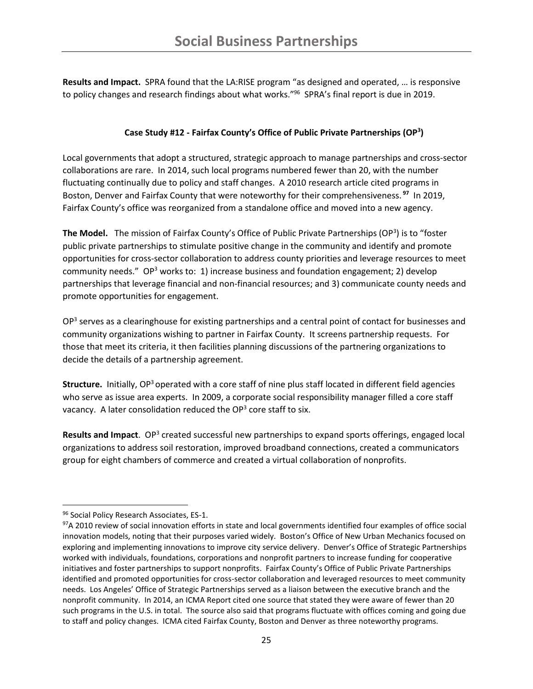**Results and Impact.** SPRA found that the LA:RISE program "as designed and operated, … is responsive to policy changes and research findings about what works." 96 SPRA's final report is due in 2019.

### **Case Study #12 - Fairfax County's Office of Public Private Partnerships (OP<sup>3</sup> )**

Local governments that adopt a structured, strategic approach to manage partnerships and cross-sector collaborations are rare. In 2014, such local programs numbered fewer than 20, with the number fluctuating continually due to policy and staff changes. A 2010 research article cited programs in Boston, Denver and Fairfax County that were noteworthy for their comprehensiveness. **<sup>97</sup>** In 2019, Fairfax County's office was reorganized from a standalone office and moved into a new agency.

The Model. The mission of Fairfax County's Office of Public Private Partnerships (OP<sup>3</sup>) is to "foster public private partnerships to stimulate positive change in the community and identify and promote opportunities for cross-sector collaboration to address county priorities and leverage resources to meet community needs." OP<sup>3</sup> works to: 1) increase business and foundation engagement; 2) develop partnerships that leverage financial and non-financial resources; and 3) communicate county needs and promote opportunities for engagement.

OP<sup>3</sup> serves as a clearinghouse for existing partnerships and a central point of contact for businesses and community organizations wishing to partner in Fairfax County. It screens partnership requests. For those that meet its criteria, it then facilities planning discussions of the partnering organizations to decide the details of a partnership agreement.

**Structure.** Initially, OP<sup>3</sup> operated with a core staff of nine plus staff located in different field agencies who serve as issue area experts. In 2009, a corporate social responsibility manager filled a core staff vacancy. A later consolidation reduced the  $OP<sup>3</sup>$  core staff to six.

Results and Impact. OP<sup>3</sup> created successful new partnerships to expand sports offerings, engaged local organizations to address soil restoration, improved broadband connections, created a communicators group for eight chambers of commerce and created a virtual collaboration of nonprofits.

<sup>96</sup> Social Policy Research Associates, ES-1.

<sup>97</sup>A 2010 review of social innovation efforts in state and local governments identified four examples of office social innovation models, noting that their purposes varied widely. Boston's Office of New Urban Mechanics focused on exploring and implementing innovations to improve city service delivery. Denver's Office of Strategic Partnerships worked with individuals, foundations, corporations and nonprofit partners to increase funding for cooperative initiatives and foster partnerships to support nonprofits. Fairfax County's Office of Public Private Partnerships identified and promoted opportunities for cross-sector collaboration and leveraged resources to meet community needs. Los Angeles' Office of Strategic Partnerships served as a liaison between the executive branch and the nonprofit community. In 2014, an ICMA Report cited one source that stated they were aware of fewer than 20 such programs in the U.S. in total. The source also said that programs fluctuate with offices coming and going due to staff and policy changes. ICMA cited Fairfax County, Boston and Denver as three noteworthy programs.